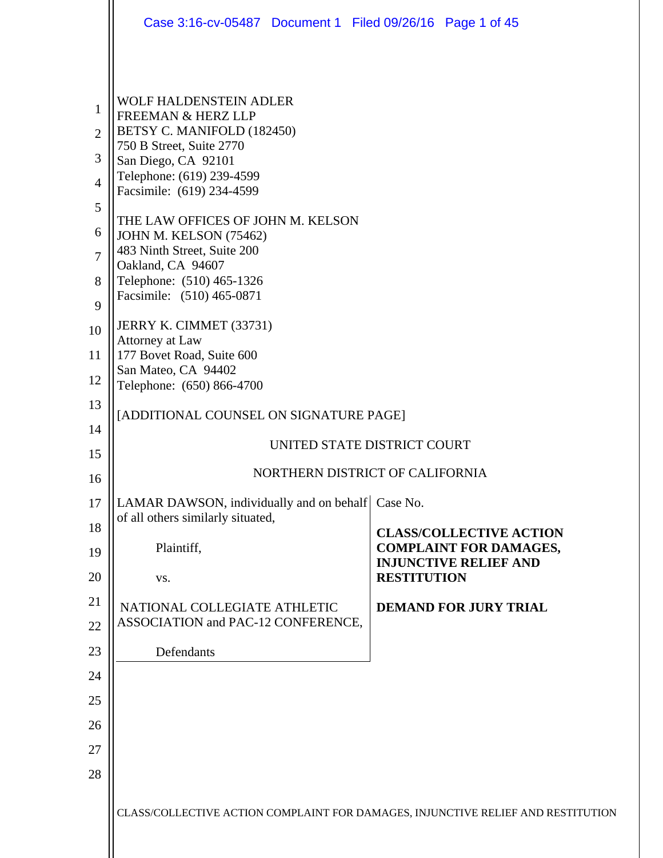|                                                                     | Case 3:16-cv-05487 Document 1 Filed 09/26/16 Page 1 of 45                                                                                                                                                                                                                                                                                                                              |                                                                 |  |  |  |
|---------------------------------------------------------------------|----------------------------------------------------------------------------------------------------------------------------------------------------------------------------------------------------------------------------------------------------------------------------------------------------------------------------------------------------------------------------------------|-----------------------------------------------------------------|--|--|--|
| 1<br>$\overline{2}$<br>3<br>$\overline{4}$<br>5<br>6<br>7<br>8<br>9 | <b>WOLF HALDENSTEIN ADLER</b><br><b>FREEMAN &amp; HERZ LLP</b><br>BETSY C. MANIFOLD (182450)<br>750 B Street, Suite 2770<br>San Diego, CA 92101<br>Telephone: (619) 239-4599<br>Facsimile: (619) 234-4599<br>THE LAW OFFICES OF JOHN M. KELSON<br>JOHN M. KELSON (75462)<br>483 Ninth Street, Suite 200<br>Oakland, CA 94607<br>Telephone: (510) 465-1326<br>Facsimile: (510) 465-0871 |                                                                 |  |  |  |
| 10                                                                  | JERRY K. CIMMET (33731)<br>Attorney at Law                                                                                                                                                                                                                                                                                                                                             |                                                                 |  |  |  |
| 11                                                                  | 177 Bovet Road, Suite 600                                                                                                                                                                                                                                                                                                                                                              |                                                                 |  |  |  |
| 12                                                                  | San Mateo, CA 94402<br>Telephone: (650) 866-4700                                                                                                                                                                                                                                                                                                                                       |                                                                 |  |  |  |
| 13                                                                  | [ADDITIONAL COUNSEL ON SIGNATURE PAGE]                                                                                                                                                                                                                                                                                                                                                 |                                                                 |  |  |  |
| 14                                                                  | UNITED STATE DISTRICT COURT                                                                                                                                                                                                                                                                                                                                                            |                                                                 |  |  |  |
| 15                                                                  | NORTHERN DISTRICT OF CALIFORNIA                                                                                                                                                                                                                                                                                                                                                        |                                                                 |  |  |  |
| 16                                                                  |                                                                                                                                                                                                                                                                                                                                                                                        |                                                                 |  |  |  |
| 17                                                                  | LAMAR DAWSON, individually and on behalf<br>of all others similarly situated,                                                                                                                                                                                                                                                                                                          | Case No.                                                        |  |  |  |
| 18<br>19                                                            | Plaintiff,                                                                                                                                                                                                                                                                                                                                                                             | <b>CLASS/COLLECTIVE ACTION</b><br><b>COMPLAINT FOR DAMAGES,</b> |  |  |  |
| 20                                                                  | VS.                                                                                                                                                                                                                                                                                                                                                                                    | <b>INJUNCTIVE RELIEF AND</b><br><b>RESTITUTION</b>              |  |  |  |
| 21                                                                  |                                                                                                                                                                                                                                                                                                                                                                                        |                                                                 |  |  |  |
| 22                                                                  | NATIONAL COLLEGIATE ATHLETIC<br>ASSOCIATION and PAC-12 CONFERENCE,                                                                                                                                                                                                                                                                                                                     | <b>DEMAND FOR JURY TRIAL</b>                                    |  |  |  |
| 23                                                                  | Defendants                                                                                                                                                                                                                                                                                                                                                                             |                                                                 |  |  |  |
| 24                                                                  |                                                                                                                                                                                                                                                                                                                                                                                        |                                                                 |  |  |  |
| 25                                                                  |                                                                                                                                                                                                                                                                                                                                                                                        |                                                                 |  |  |  |
| 26                                                                  |                                                                                                                                                                                                                                                                                                                                                                                        |                                                                 |  |  |  |
| 27                                                                  |                                                                                                                                                                                                                                                                                                                                                                                        |                                                                 |  |  |  |
| 28                                                                  |                                                                                                                                                                                                                                                                                                                                                                                        |                                                                 |  |  |  |
|                                                                     | CLASS/COLLECTIVE ACTION COMPLAINT FOR DAMAGES, INJUNCTIVE RELIEF AND RESTITUTION                                                                                                                                                                                                                                                                                                       |                                                                 |  |  |  |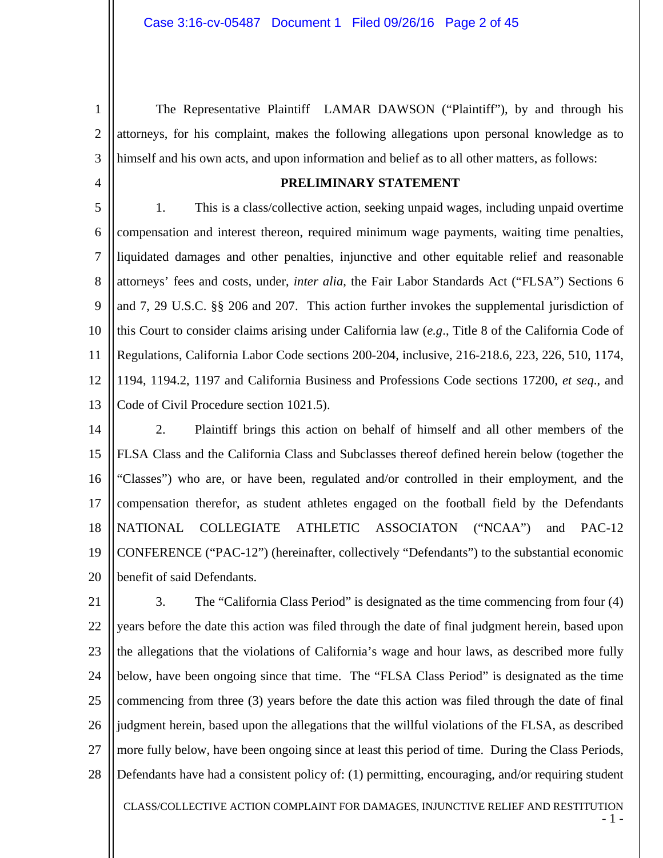2 3 The Representative Plaintiff LAMAR DAWSON ("Plaintiff"), by and through his attorneys, for his complaint, makes the following allegations upon personal knowledge as to himself and his own acts, and upon information and belief as to all other matters, as follows:

4

1

### **PRELIMINARY STATEMENT**

5 6 7 8 9 10 11 12 13 1. This is a class/collective action, seeking unpaid wages, including unpaid overtime compensation and interest thereon, required minimum wage payments, waiting time penalties, liquidated damages and other penalties, injunctive and other equitable relief and reasonable attorneys' fees and costs, under, *inter alia*, the Fair Labor Standards Act ("FLSA") Sections 6 and 7, 29 U.S.C. §§ 206 and 207. This action further invokes the supplemental jurisdiction of this Court to consider claims arising under California law (*e.g*., Title 8 of the California Code of Regulations, California Labor Code sections 200-204, inclusive, 216-218.6, 223, 226, 510, 1174, 1194, 1194.2, 1197 and California Business and Professions Code sections 17200, *et seq*., and Code of Civil Procedure section 1021.5).

14 15 16 17 18 19 20 2. Plaintiff brings this action on behalf of himself and all other members of the FLSA Class and the California Class and Subclasses thereof defined herein below (together the "Classes") who are, or have been, regulated and/or controlled in their employment, and the compensation therefor, as student athletes engaged on the football field by the Defendants NATIONAL COLLEGIATE ATHLETIC ASSOCIATON ("NCAA") and PAC-12 CONFERENCE ("PAC-12") (hereinafter, collectively "Defendants") to the substantial economic benefit of said Defendants.

21 22 23 24 25 26 27 28 3. The "California Class Period" is designated as the time commencing from four (4) years before the date this action was filed through the date of final judgment herein, based upon the allegations that the violations of California's wage and hour laws, as described more fully below, have been ongoing since that time. The "FLSA Class Period" is designated as the time commencing from three (3) years before the date this action was filed through the date of final judgment herein, based upon the allegations that the willful violations of the FLSA, as described more fully below, have been ongoing since at least this period of time. During the Class Periods, Defendants have had a consistent policy of: (1) permitting, encouraging, and/or requiring student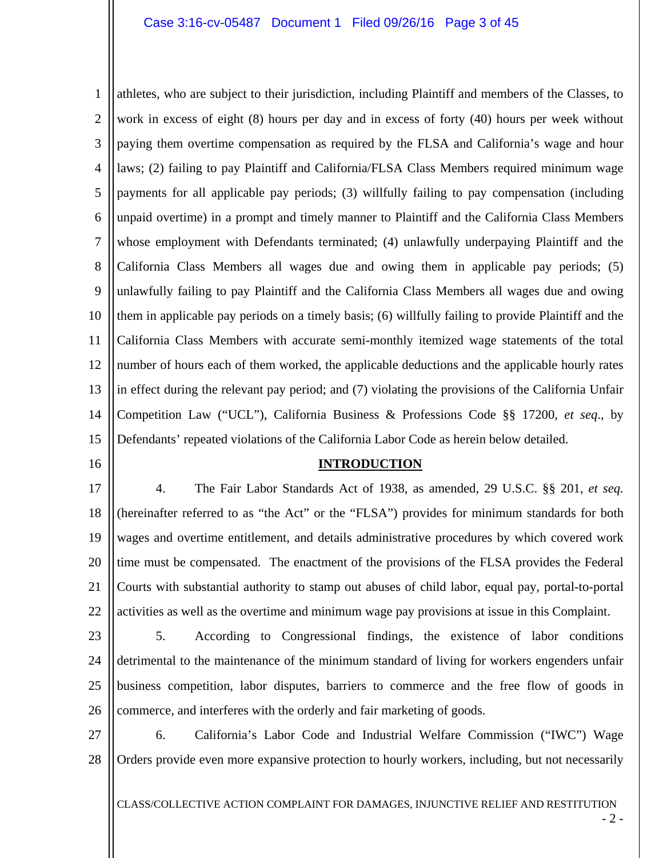1 2 3 4 5 6 7 8 9 10 11 12 13 14 15 athletes, who are subject to their jurisdiction, including Plaintiff and members of the Classes, to work in excess of eight (8) hours per day and in excess of forty (40) hours per week without paying them overtime compensation as required by the FLSA and California's wage and hour laws; (2) failing to pay Plaintiff and California/FLSA Class Members required minimum wage payments for all applicable pay periods; (3) willfully failing to pay compensation (including unpaid overtime) in a prompt and timely manner to Plaintiff and the California Class Members whose employment with Defendants terminated; (4) unlawfully underpaying Plaintiff and the California Class Members all wages due and owing them in applicable pay periods; (5) unlawfully failing to pay Plaintiff and the California Class Members all wages due and owing them in applicable pay periods on a timely basis; (6) willfully failing to provide Plaintiff and the California Class Members with accurate semi-monthly itemized wage statements of the total number of hours each of them worked, the applicable deductions and the applicable hourly rates in effect during the relevant pay period; and (7) violating the provisions of the California Unfair Competition Law ("UCL"), California Business & Professions Code §§ 17200, *et seq*., by Defendants' repeated violations of the California Labor Code as herein below detailed.

16

### **INTRODUCTION**

17 18 19 20 21 22 4. The Fair Labor Standards Act of 1938, as amended, 29 U.S.C. §§ 201, *et seq.* (hereinafter referred to as "the Act" or the "FLSA") provides for minimum standards for both wages and overtime entitlement, and details administrative procedures by which covered work time must be compensated. The enactment of the provisions of the FLSA provides the Federal Courts with substantial authority to stamp out abuses of child labor, equal pay, portal-to-portal activities as well as the overtime and minimum wage pay provisions at issue in this Complaint.

23

24 25 26 5. According to Congressional findings, the existence of labor conditions detrimental to the maintenance of the minimum standard of living for workers engenders unfair business competition, labor disputes, barriers to commerce and the free flow of goods in commerce, and interferes with the orderly and fair marketing of goods.

27 28 6. California's Labor Code and Industrial Welfare Commission ("IWC") Wage Orders provide even more expansive protection to hourly workers, including, but not necessarily

CLASS/COLLECTIVE ACTION COMPLAINT FOR DAMAGES, INJUNCTIVE RELIEF AND RESTITUTION

- 2 -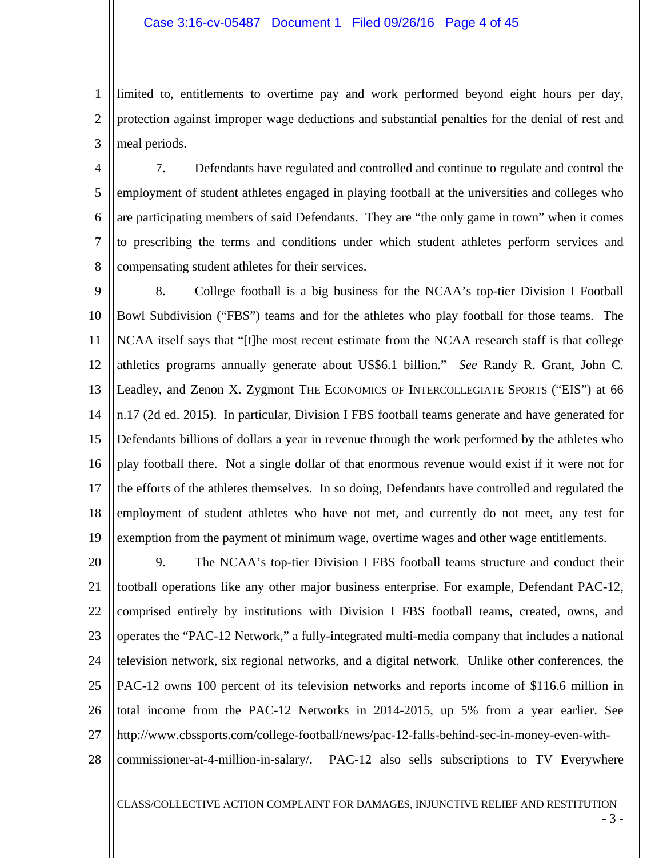1 2 3 limited to, entitlements to overtime pay and work performed beyond eight hours per day, protection against improper wage deductions and substantial penalties for the denial of rest and meal periods.

4 5 6 7 8 7. Defendants have regulated and controlled and continue to regulate and control the employment of student athletes engaged in playing football at the universities and colleges who are participating members of said Defendants. They are "the only game in town" when it comes to prescribing the terms and conditions under which student athletes perform services and compensating student athletes for their services.

9 10 11 12 13 14 15 16 17 18 19 8. College football is a big business for the NCAA's top-tier Division I Football Bowl Subdivision ("FBS") teams and for the athletes who play football for those teams. The NCAA itself says that "[t]he most recent estimate from the NCAA research staff is that college athletics programs annually generate about US\$6.1 billion." *See* Randy R. Grant, John C. Leadley, and Zenon X. Zygmont THE ECONOMICS OF INTERCOLLEGIATE SPORTS ("EIS") at 66 n.17 (2d ed. 2015). In particular, Division I FBS football teams generate and have generated for Defendants billions of dollars a year in revenue through the work performed by the athletes who play football there. Not a single dollar of that enormous revenue would exist if it were not for the efforts of the athletes themselves. In so doing, Defendants have controlled and regulated the employment of student athletes who have not met, and currently do not meet, any test for exemption from the payment of minimum wage, overtime wages and other wage entitlements.

20 21 22 23 24 25 26 27 28 9. The NCAA's top-tier Division I FBS football teams structure and conduct their football operations like any other major business enterprise. For example, Defendant PAC-12, comprised entirely by institutions with Division I FBS football teams, created, owns, and operates the "PAC-12 Network," a fully-integrated multi-media company that includes a national television network, six regional networks, and a digital network. Unlike other conferences, the PAC-12 owns 100 percent of its television networks and reports income of \$116.6 million in total income from the PAC-12 Networks in 2014-2015, up 5% from a year earlier. See http://www.cbssports.com/college-football/news/pac-12-falls-behind-sec-in-money-even-withcommissioner-at-4-million-in-salary/. PAC-12 also sells subscriptions to TV Everywhere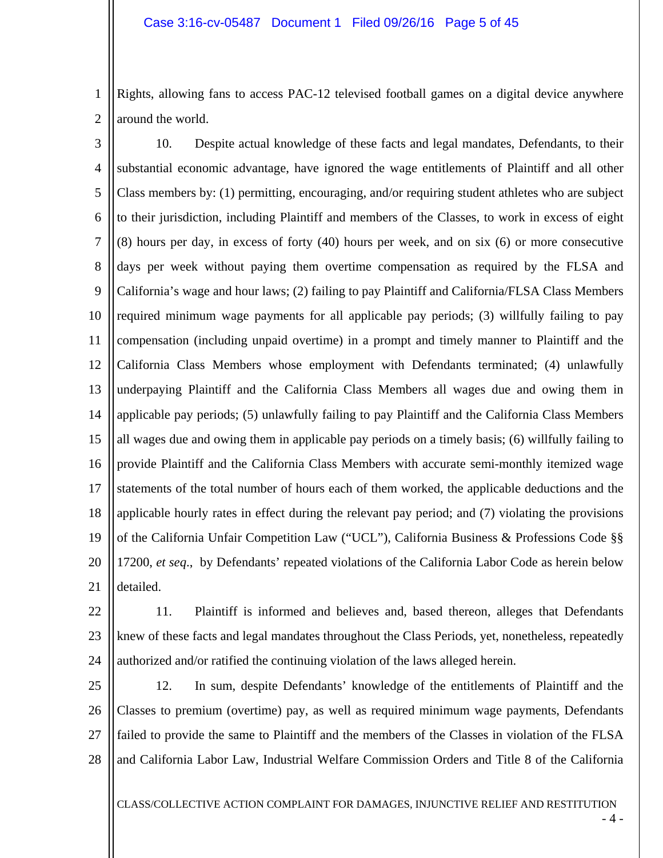1 2 Rights, allowing fans to access PAC-12 televised football games on a digital device anywhere around the world.

3 4 5 6 7 8 9 10 11 12 13 14 15 16 17 18 19 20 21 10. Despite actual knowledge of these facts and legal mandates, Defendants, to their substantial economic advantage, have ignored the wage entitlements of Plaintiff and all other Class members by: (1) permitting, encouraging, and/or requiring student athletes who are subject to their jurisdiction, including Plaintiff and members of the Classes, to work in excess of eight (8) hours per day, in excess of forty (40) hours per week, and on six (6) or more consecutive days per week without paying them overtime compensation as required by the FLSA and California's wage and hour laws; (2) failing to pay Plaintiff and California/FLSA Class Members required minimum wage payments for all applicable pay periods; (3) willfully failing to pay compensation (including unpaid overtime) in a prompt and timely manner to Plaintiff and the California Class Members whose employment with Defendants terminated; (4) unlawfully underpaying Plaintiff and the California Class Members all wages due and owing them in applicable pay periods; (5) unlawfully failing to pay Plaintiff and the California Class Members all wages due and owing them in applicable pay periods on a timely basis; (6) willfully failing to provide Plaintiff and the California Class Members with accurate semi-monthly itemized wage statements of the total number of hours each of them worked, the applicable deductions and the applicable hourly rates in effect during the relevant pay period; and (7) violating the provisions of the California Unfair Competition Law ("UCL"), California Business & Professions Code §§ 17200, *et seq*., by Defendants' repeated violations of the California Labor Code as herein below detailed.

22 23

24 11. Plaintiff is informed and believes and, based thereon, alleges that Defendants knew of these facts and legal mandates throughout the Class Periods, yet, nonetheless, repeatedly authorized and/or ratified the continuing violation of the laws alleged herein.

25 26 27 28 12. In sum, despite Defendants' knowledge of the entitlements of Plaintiff and the Classes to premium (overtime) pay, as well as required minimum wage payments, Defendants failed to provide the same to Plaintiff and the members of the Classes in violation of the FLSA and California Labor Law, Industrial Welfare Commission Orders and Title 8 of the California

CLASS/COLLECTIVE ACTION COMPLAINT FOR DAMAGES, INJUNCTIVE RELIEF AND RESTITUTION

- 4 -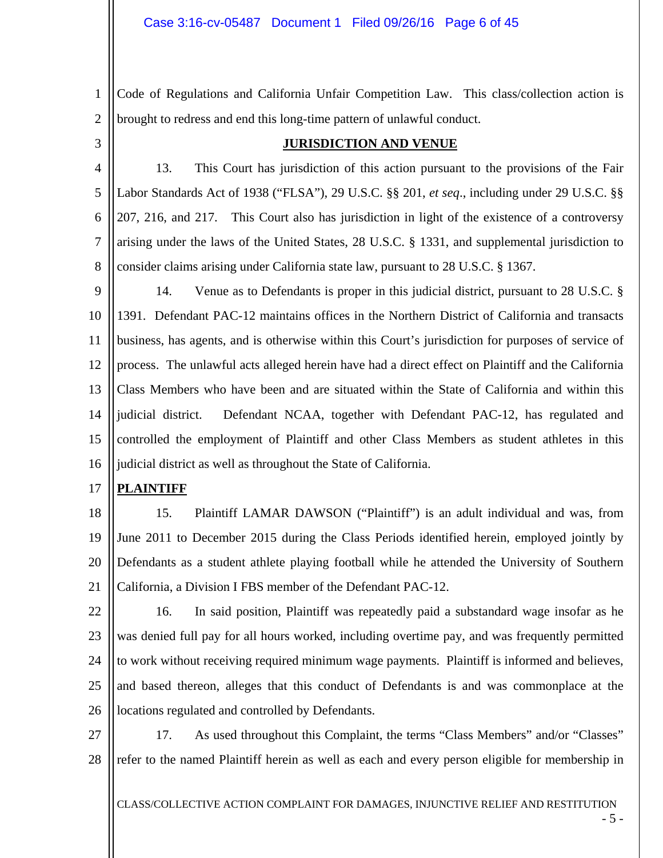1 2 Code of Regulations and California Unfair Competition Law. This class/collection action is brought to redress and end this long-time pattern of unlawful conduct.

3

### **JURISDICTION AND VENUE**

4 5 6 7 8 13. This Court has jurisdiction of this action pursuant to the provisions of the Fair Labor Standards Act of 1938 ("FLSA"), 29 U.S.C. §§ 201, *et seq*., including under 29 U.S.C. §§ 207, 216, and 217. This Court also has jurisdiction in light of the existence of a controversy arising under the laws of the United States, 28 U.S.C. § 1331, and supplemental jurisdiction to consider claims arising under California state law, pursuant to 28 U.S.C. § 1367.

9 10 11 12 13 14 15 16 14. Venue as to Defendants is proper in this judicial district, pursuant to 28 U.S.C. § 1391. Defendant PAC-12 maintains offices in the Northern District of California and transacts business, has agents, and is otherwise within this Court's jurisdiction for purposes of service of process. The unlawful acts alleged herein have had a direct effect on Plaintiff and the California Class Members who have been and are situated within the State of California and within this judicial district. Defendant NCAA, together with Defendant PAC-12, has regulated and controlled the employment of Plaintiff and other Class Members as student athletes in this judicial district as well as throughout the State of California.

#### 17 **PLAINTIFF**

18 19 20 21 15. Plaintiff LAMAR DAWSON ("Plaintiff") is an adult individual and was, from June 2011 to December 2015 during the Class Periods identified herein, employed jointly by Defendants as a student athlete playing football while he attended the University of Southern California, a Division I FBS member of the Defendant PAC-12.

22

23 24 25 26 16. In said position, Plaintiff was repeatedly paid a substandard wage insofar as he was denied full pay for all hours worked, including overtime pay, and was frequently permitted to work without receiving required minimum wage payments. Plaintiff is informed and believes, and based thereon, alleges that this conduct of Defendants is and was commonplace at the locations regulated and controlled by Defendants.

27 28 17. As used throughout this Complaint, the terms "Class Members" and/or "Classes" refer to the named Plaintiff herein as well as each and every person eligible for membership in

CLASS/COLLECTIVE ACTION COMPLAINT FOR DAMAGES, INJUNCTIVE RELIEF AND RESTITUTION

- 5 -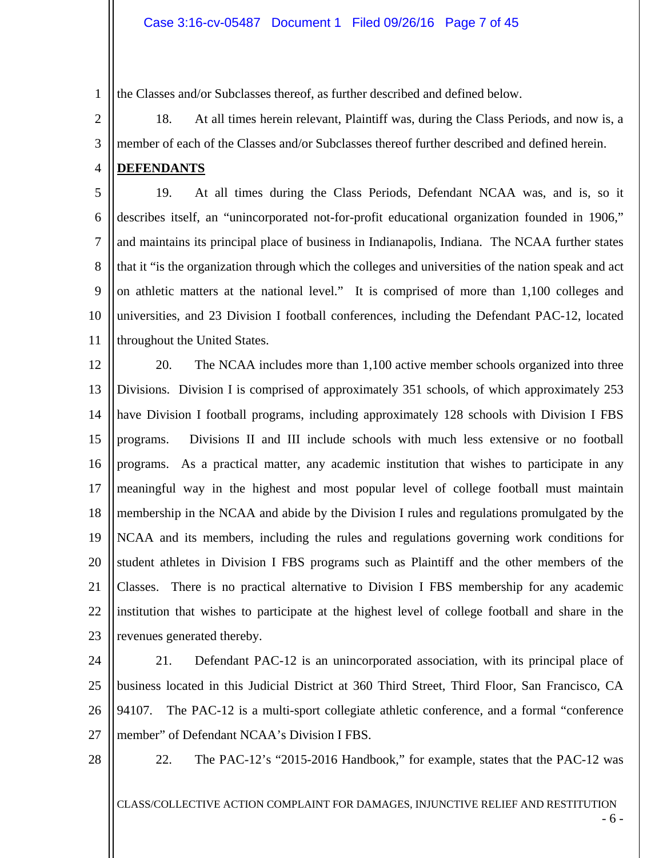1 the Classes and/or Subclasses thereof, as further described and defined below.

2 3 18. At all times herein relevant, Plaintiff was, during the Class Periods, and now is, a member of each of the Classes and/or Subclasses thereof further described and defined herein.

4 **DEFENDANTS** 

5 6 7 8 9 10 11 19. At all times during the Class Periods, Defendant NCAA was, and is, so it describes itself, an "unincorporated not-for-profit educational organization founded in 1906," and maintains its principal place of business in Indianapolis, Indiana. The NCAA further states that it "is the organization through which the colleges and universities of the nation speak and act on athletic matters at the national level." It is comprised of more than 1,100 colleges and universities, and 23 Division I football conferences, including the Defendant PAC-12, located throughout the United States.

12 13 14 15 16 17 18 19 20 21 22 23 20. The NCAA includes more than 1,100 active member schools organized into three Divisions. Division I is comprised of approximately 351 schools, of which approximately 253 have Division I football programs, including approximately 128 schools with Division I FBS programs. Divisions II and III include schools with much less extensive or no football programs. As a practical matter, any academic institution that wishes to participate in any meaningful way in the highest and most popular level of college football must maintain membership in the NCAA and abide by the Division I rules and regulations promulgated by the NCAA and its members, including the rules and regulations governing work conditions for student athletes in Division I FBS programs such as Plaintiff and the other members of the Classes. There is no practical alternative to Division I FBS membership for any academic institution that wishes to participate at the highest level of college football and share in the revenues generated thereby.

24 25 26 27 21. Defendant PAC-12 is an unincorporated association, with its principal place of business located in this Judicial District at 360 Third Street, Third Floor, San Francisco, CA 94107. The PAC-12 is a multi-sport collegiate athletic conference, and a formal "conference member" of Defendant NCAA's Division I FBS.

28

22. The PAC-12's "2015-2016 Handbook," for example, states that the PAC-12 was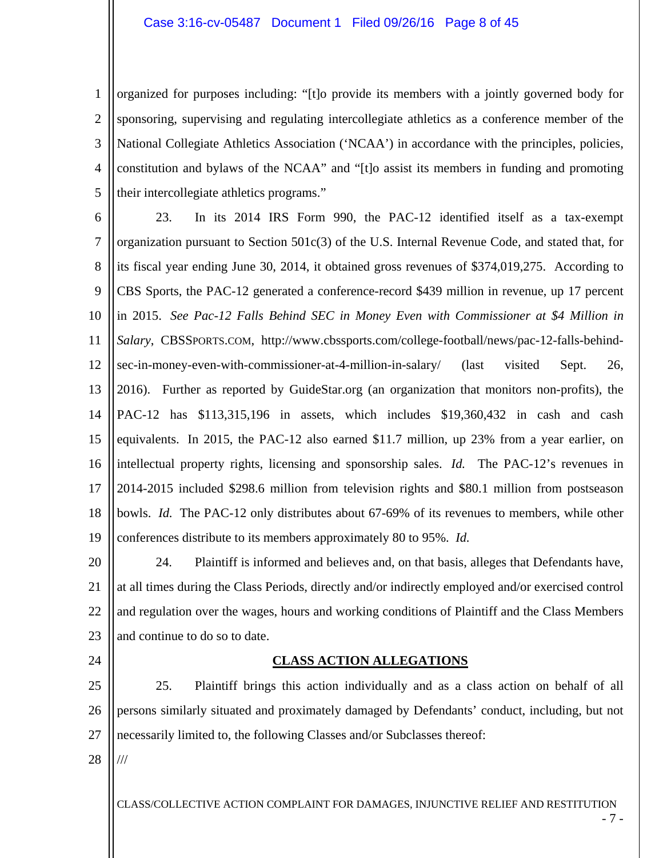### Case 3:16-cv-05487 Document 1 Filed 09/26/16 Page 8 of 45

1 2 3 4 5 organized for purposes including: "[t]o provide its members with a jointly governed body for sponsoring, supervising and regulating intercollegiate athletics as a conference member of the National Collegiate Athletics Association ('NCAA') in accordance with the principles, policies, constitution and bylaws of the NCAA" and "[t]o assist its members in funding and promoting their intercollegiate athletics programs."

6 7 8 9 10 11 12 13 14 15 16 17 18 19 23. In its 2014 IRS Form 990, the PAC-12 identified itself as a tax-exempt organization pursuant to Section 501c(3) of the U.S. Internal Revenue Code, and stated that, for its fiscal year ending June 30, 2014, it obtained gross revenues of \$374,019,275. According to CBS Sports, the PAC-12 generated a conference-record \$439 million in revenue, up 17 percent in 2015. *See Pac-12 Falls Behind SEC in Money Even with Commissioner at \$4 Million in Salary*, CBSSPORTS.COM, http://www.cbssports.com/college-football/news/pac-12-falls-behindsec-in-money-even-with-commissioner-at-4-million-in-salary/ (last visited Sept. 26, 2016). Further as reported by GuideStar.org (an organization that monitors non-profits), the PAC-12 has \$113,315,196 in assets, which includes \$19,360,432 in cash and cash equivalents. In 2015, the PAC-12 also earned \$11.7 million, up 23% from a year earlier, on intellectual property rights, licensing and sponsorship sales. *Id.* The PAC-12's revenues in 2014-2015 included \$298.6 million from television rights and \$80.1 million from postseason bowls. *Id.* The PAC-12 only distributes about 67-69% of its revenues to members, while other conferences distribute to its members approximately 80 to 95%. *Id.*

20 21 22 23 24. Plaintiff is informed and believes and, on that basis, alleges that Defendants have, at all times during the Class Periods, directly and/or indirectly employed and/or exercised control and regulation over the wages, hours and working conditions of Plaintiff and the Class Members and continue to do so to date.

24

### **CLASS ACTION ALLEGATIONS**

25 26 27 25. Plaintiff brings this action individually and as a class action on behalf of all persons similarly situated and proximately damaged by Defendants' conduct, including, but not necessarily limited to, the following Classes and/or Subclasses thereof:

28 ///

CLASS/COLLECTIVE ACTION COMPLAINT FOR DAMAGES, INJUNCTIVE RELIEF AND RESTITUTION

- 7 -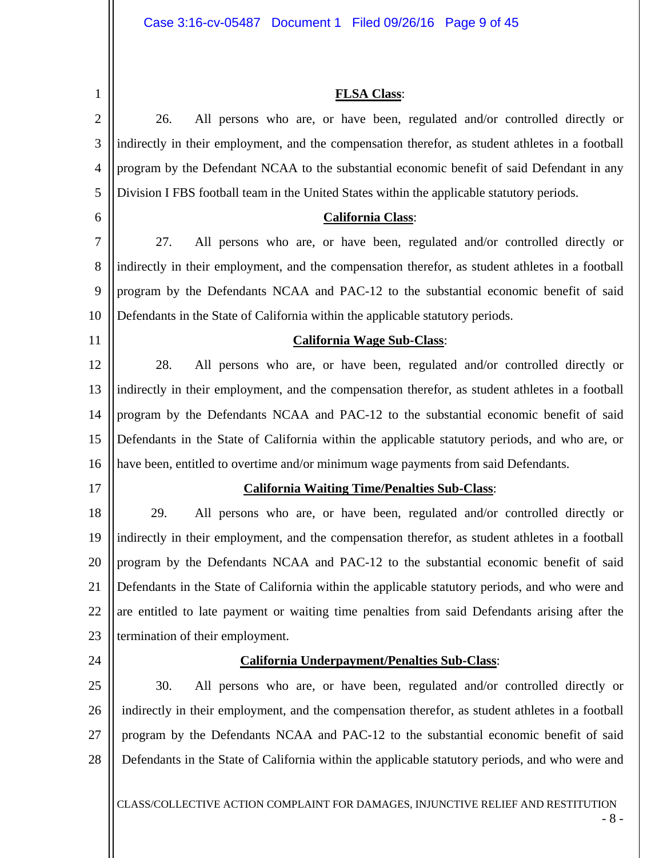1 2 3 4 5 6 7 8 9 10 11 12 13 14 15 16 17 18 19 20 21 22 23 24 25 26 27 28 **FLSA Class**: 26. All persons who are, or have been, regulated and/or controlled directly or indirectly in their employment, and the compensation therefor, as student athletes in a football program by the Defendant NCAA to the substantial economic benefit of said Defendant in any Division I FBS football team in the United States within the applicable statutory periods. **California Class**: 27. All persons who are, or have been, regulated and/or controlled directly or indirectly in their employment, and the compensation therefor, as student athletes in a football program by the Defendants NCAA and PAC-12 to the substantial economic benefit of said Defendants in the State of California within the applicable statutory periods. **California Wage Sub-Class**: 28. All persons who are, or have been, regulated and/or controlled directly or indirectly in their employment, and the compensation therefor, as student athletes in a football program by the Defendants NCAA and PAC-12 to the substantial economic benefit of said Defendants in the State of California within the applicable statutory periods, and who are, or have been, entitled to overtime and/or minimum wage payments from said Defendants. **California Waiting Time/Penalties Sub-Class**: 29. All persons who are, or have been, regulated and/or controlled directly or indirectly in their employment, and the compensation therefor, as student athletes in a football program by the Defendants NCAA and PAC-12 to the substantial economic benefit of said Defendants in the State of California within the applicable statutory periods, and who were and are entitled to late payment or waiting time penalties from said Defendants arising after the termination of their employment. **California Underpayment/Penalties Sub-Class**: 30. All persons who are, or have been, regulated and/or controlled directly or indirectly in their employment, and the compensation therefor, as student athletes in a football program by the Defendants NCAA and PAC-12 to the substantial economic benefit of said Defendants in the State of California within the applicable statutory periods, and who were and

CLASS/COLLECTIVE ACTION COMPLAINT FOR DAMAGES, INJUNCTIVE RELIEF AND RESTITUTION

- 8 -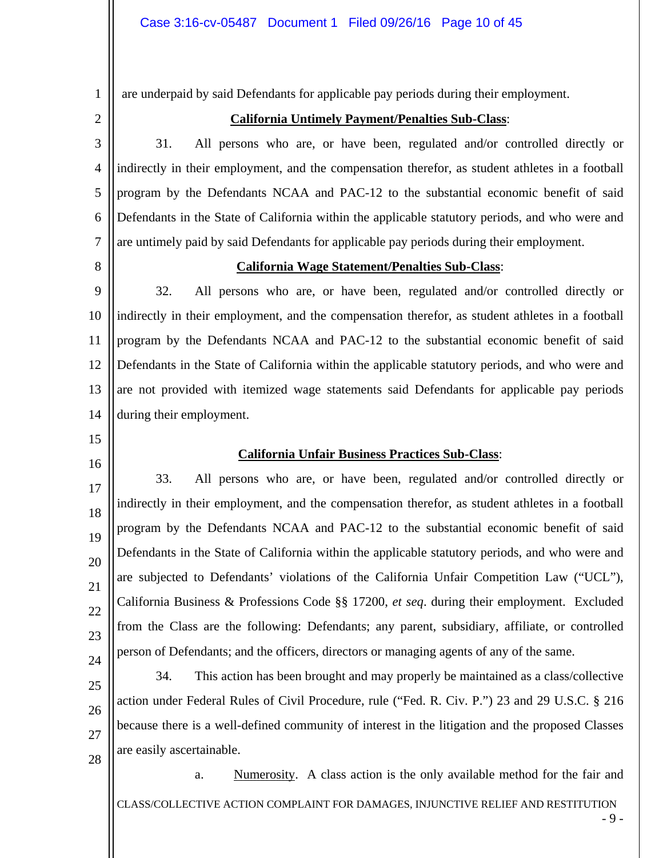are underpaid by said Defendants for applicable pay periods during their employment.

2

1

# **California Untimely Payment/Penalties Sub-Class**:

3 4 5 6 7 31. All persons who are, or have been, regulated and/or controlled directly or indirectly in their employment, and the compensation therefor, as student athletes in a football program by the Defendants NCAA and PAC-12 to the substantial economic benefit of said Defendants in the State of California within the applicable statutory periods, and who were and are untimely paid by said Defendants for applicable pay periods during their employment.

8

### **California Wage Statement/Penalties Sub-Class**:

9 10 11 12 13 14 32. All persons who are, or have been, regulated and/or controlled directly or indirectly in their employment, and the compensation therefor, as student athletes in a football program by the Defendants NCAA and PAC-12 to the substantial economic benefit of said Defendants in the State of California within the applicable statutory periods, and who were and are not provided with itemized wage statements said Defendants for applicable pay periods during their employment.

15

16

17

18

19

20

21

22

23

24

### **California Unfair Business Practices Sub-Class**:

33. All persons who are, or have been, regulated and/or controlled directly or indirectly in their employment, and the compensation therefor, as student athletes in a football program by the Defendants NCAA and PAC-12 to the substantial economic benefit of said Defendants in the State of California within the applicable statutory periods, and who were and are subjected to Defendants' violations of the California Unfair Competition Law ("UCL"), California Business & Professions Code §§ 17200, *et seq*. during their employment. Excluded from the Class are the following: Defendants; any parent, subsidiary, affiliate, or controlled person of Defendants; and the officers, directors or managing agents of any of the same.

25 26 27 28 34. This action has been brought and may properly be maintained as a class/collective action under Federal Rules of Civil Procedure, rule ("Fed. R. Civ. P.") 23 and 29 U.S.C. § 216 because there is a well-defined community of interest in the litigation and the proposed Classes are easily ascertainable.

CLASS/COLLECTIVE ACTION COMPLAINT FOR DAMAGES, INJUNCTIVE RELIEF AND RESTITUTION a. Numerosity. A class action is the only available method for the fair and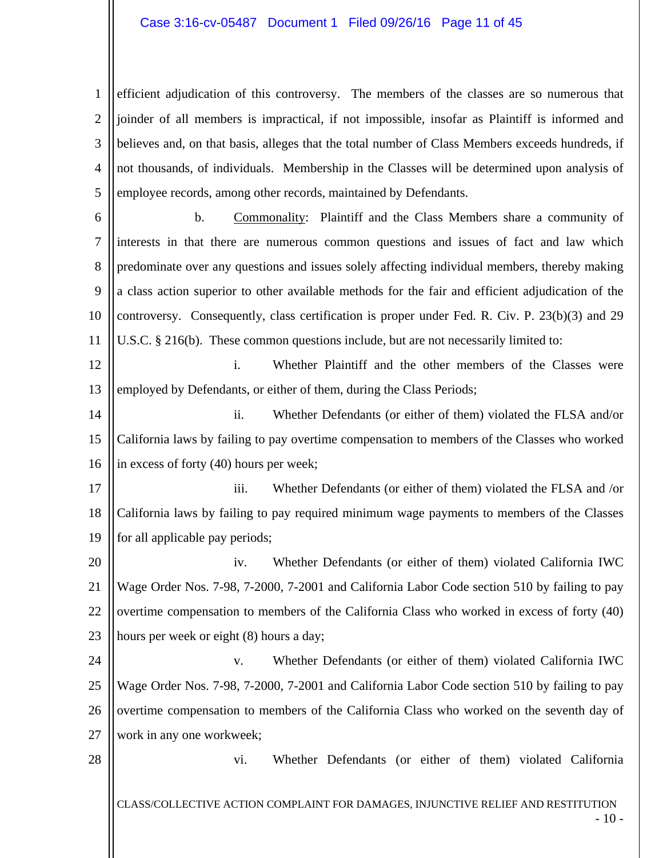### Case 3:16-cv-05487 Document 1 Filed 09/26/16 Page 11 of 45

1 2 3 4 5 efficient adjudication of this controversy. The members of the classes are so numerous that joinder of all members is impractical, if not impossible, insofar as Plaintiff is informed and believes and, on that basis, alleges that the total number of Class Members exceeds hundreds, if not thousands, of individuals. Membership in the Classes will be determined upon analysis of employee records, among other records, maintained by Defendants.

6

7 8 9 10 11 b. Commonality: Plaintiff and the Class Members share a community of interests in that there are numerous common questions and issues of fact and law which predominate over any questions and issues solely affecting individual members, thereby making a class action superior to other available methods for the fair and efficient adjudication of the controversy. Consequently, class certification is proper under Fed. R. Civ. P. 23(b)(3) and 29 U.S.C. § 216(b). These common questions include, but are not necessarily limited to:

12 13 i. Whether Plaintiff and the other members of the Classes were employed by Defendants, or either of them, during the Class Periods;

14 15 16 ii. Whether Defendants (or either of them) violated the FLSA and/or California laws by failing to pay overtime compensation to members of the Classes who worked in excess of forty (40) hours per week;

17 18 19 iii. Whether Defendants (or either of them) violated the FLSA and /or California laws by failing to pay required minimum wage payments to members of the Classes for all applicable pay periods;

20 21 22 23 iv. Whether Defendants (or either of them) violated California IWC Wage Order Nos. 7-98, 7-2000, 7-2001 and California Labor Code section 510 by failing to pay overtime compensation to members of the California Class who worked in excess of forty (40) hours per week or eight (8) hours a day;

24 25 26 27 v. Whether Defendants (or either of them) violated California IWC Wage Order Nos. 7-98, 7-2000, 7-2001 and California Labor Code section 510 by failing to pay overtime compensation to members of the California Class who worked on the seventh day of work in any one workweek;

28

vi. Whether Defendants (or either of them) violated California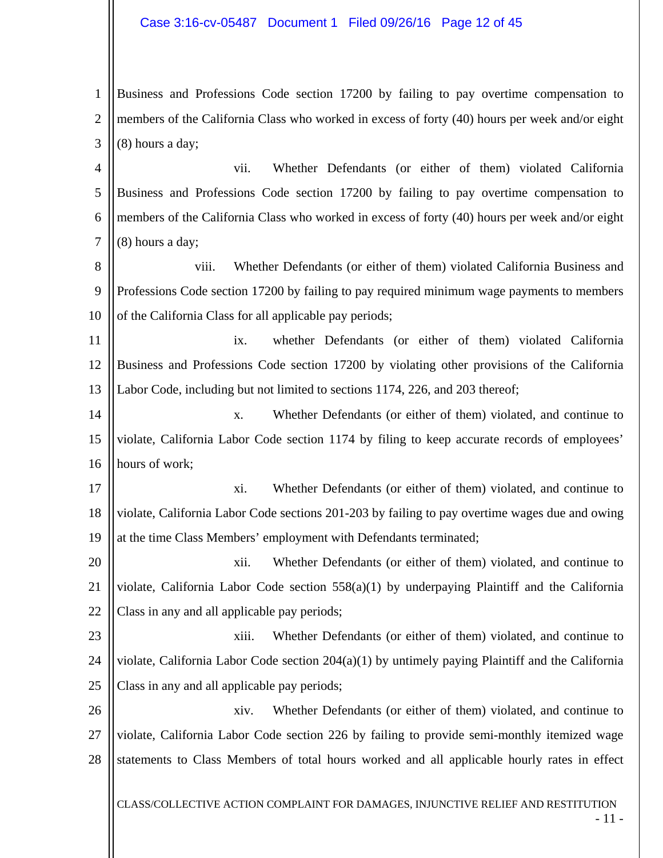### Case 3:16-cv-05487 Document 1 Filed 09/26/16 Page 12 of 45

1 2 3 Business and Professions Code section 17200 by failing to pay overtime compensation to members of the California Class who worked in excess of forty (40) hours per week and/or eight (8) hours a day;

4 5 6 7 vii. Whether Defendants (or either of them) violated California Business and Professions Code section 17200 by failing to pay overtime compensation to members of the California Class who worked in excess of forty (40) hours per week and/or eight (8) hours a day;

8 9 10 viii. Whether Defendants (or either of them) violated California Business and Professions Code section 17200 by failing to pay required minimum wage payments to members of the California Class for all applicable pay periods;

11 12 13 ix. whether Defendants (or either of them) violated California Business and Professions Code section 17200 by violating other provisions of the California Labor Code, including but not limited to sections 1174, 226, and 203 thereof;

14 15 16 x. Whether Defendants (or either of them) violated, and continue to violate, California Labor Code section 1174 by filing to keep accurate records of employees' hours of work;

17 18 19 xi. Whether Defendants (or either of them) violated, and continue to violate, California Labor Code sections 201-203 by failing to pay overtime wages due and owing at the time Class Members' employment with Defendants terminated;

20 21 22 xii. Whether Defendants (or either of them) violated, and continue to violate, California Labor Code section 558(a)(1) by underpaying Plaintiff and the California Class in any and all applicable pay periods;

23 24 25 xiii. Whether Defendants (or either of them) violated, and continue to violate, California Labor Code section 204(a)(1) by untimely paying Plaintiff and the California Class in any and all applicable pay periods;

26 27 28 xiv. Whether Defendants (or either of them) violated, and continue to violate, California Labor Code section 226 by failing to provide semi-monthly itemized wage statements to Class Members of total hours worked and all applicable hourly rates in effect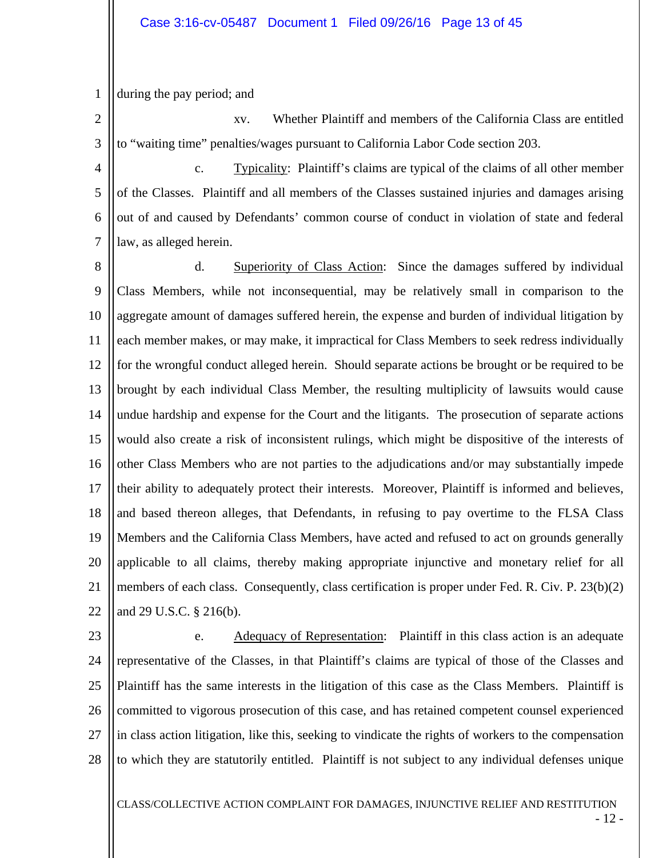1 during the pay period; and

2 3 xv. Whether Plaintiff and members of the California Class are entitled to "waiting time" penalties/wages pursuant to California Labor Code section 203.

4 5 6 7 c. Typicality: Plaintiff's claims are typical of the claims of all other member of the Classes. Plaintiff and all members of the Classes sustained injuries and damages arising out of and caused by Defendants' common course of conduct in violation of state and federal law, as alleged herein.

8 9 10 11 12 13 14 15 16 17 18 19 20 21 22 d. Superiority of Class Action: Since the damages suffered by individual Class Members, while not inconsequential, may be relatively small in comparison to the aggregate amount of damages suffered herein, the expense and burden of individual litigation by each member makes, or may make, it impractical for Class Members to seek redress individually for the wrongful conduct alleged herein. Should separate actions be brought or be required to be brought by each individual Class Member, the resulting multiplicity of lawsuits would cause undue hardship and expense for the Court and the litigants. The prosecution of separate actions would also create a risk of inconsistent rulings, which might be dispositive of the interests of other Class Members who are not parties to the adjudications and/or may substantially impede their ability to adequately protect their interests. Moreover, Plaintiff is informed and believes, and based thereon alleges, that Defendants, in refusing to pay overtime to the FLSA Class Members and the California Class Members, have acted and refused to act on grounds generally applicable to all claims, thereby making appropriate injunctive and monetary relief for all members of each class. Consequently, class certification is proper under Fed. R. Civ. P. 23(b)(2) and 29 U.S.C. § 216(b).

23 24 25 26 27 28 e. Adequacy of Representation: Plaintiff in this class action is an adequate representative of the Classes, in that Plaintiff's claims are typical of those of the Classes and Plaintiff has the same interests in the litigation of this case as the Class Members. Plaintiff is committed to vigorous prosecution of this case, and has retained competent counsel experienced in class action litigation, like this, seeking to vindicate the rights of workers to the compensation to which they are statutorily entitled. Plaintiff is not subject to any individual defenses unique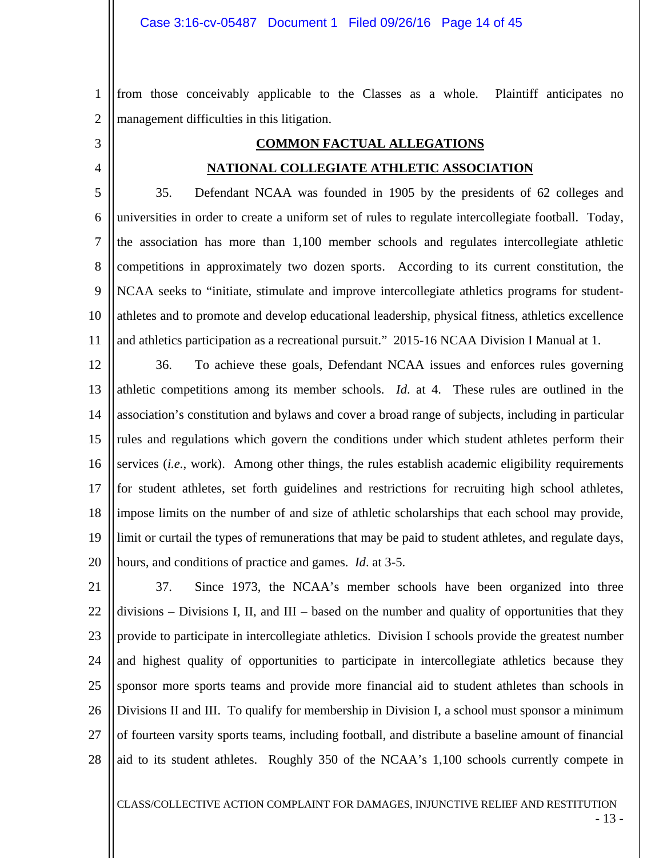1 2 from those conceivably applicable to the Classes as a whole. Plaintiff anticipates no management difficulties in this litigation.

3 4

### **COMMON FACTUAL ALLEGATIONS**

### **NATIONAL COLLEGIATE ATHLETIC ASSOCIATION**

5 6 7 8 9 10 11 35. Defendant NCAA was founded in 1905 by the presidents of 62 colleges and universities in order to create a uniform set of rules to regulate intercollegiate football. Today, the association has more than 1,100 member schools and regulates intercollegiate athletic competitions in approximately two dozen sports. According to its current constitution, the NCAA seeks to "initiate, stimulate and improve intercollegiate athletics programs for studentathletes and to promote and develop educational leadership, physical fitness, athletics excellence and athletics participation as a recreational pursuit." 2015-16 NCAA Division I Manual at 1.

12 13 14 15 16 17 18 19 20 36. To achieve these goals, Defendant NCAA issues and enforces rules governing athletic competitions among its member schools. *Id*. at 4. These rules are outlined in the association's constitution and bylaws and cover a broad range of subjects, including in particular rules and regulations which govern the conditions under which student athletes perform their services (*i.e.*, work). Among other things, the rules establish academic eligibility requirements for student athletes, set forth guidelines and restrictions for recruiting high school athletes, impose limits on the number of and size of athletic scholarships that each school may provide, limit or curtail the types of remunerations that may be paid to student athletes, and regulate days, hours, and conditions of practice and games. *Id*. at 3-5.

21 22 23 24 25 26 27 28 37. Since 1973, the NCAA's member schools have been organized into three divisions – Divisions I, II, and  $III$  – based on the number and quality of opportunities that they provide to participate in intercollegiate athletics. Division I schools provide the greatest number and highest quality of opportunities to participate in intercollegiate athletics because they sponsor more sports teams and provide more financial aid to student athletes than schools in Divisions II and III. To qualify for membership in Division I, a school must sponsor a minimum of fourteen varsity sports teams, including football, and distribute a baseline amount of financial aid to its student athletes. Roughly 350 of the NCAA's 1,100 schools currently compete in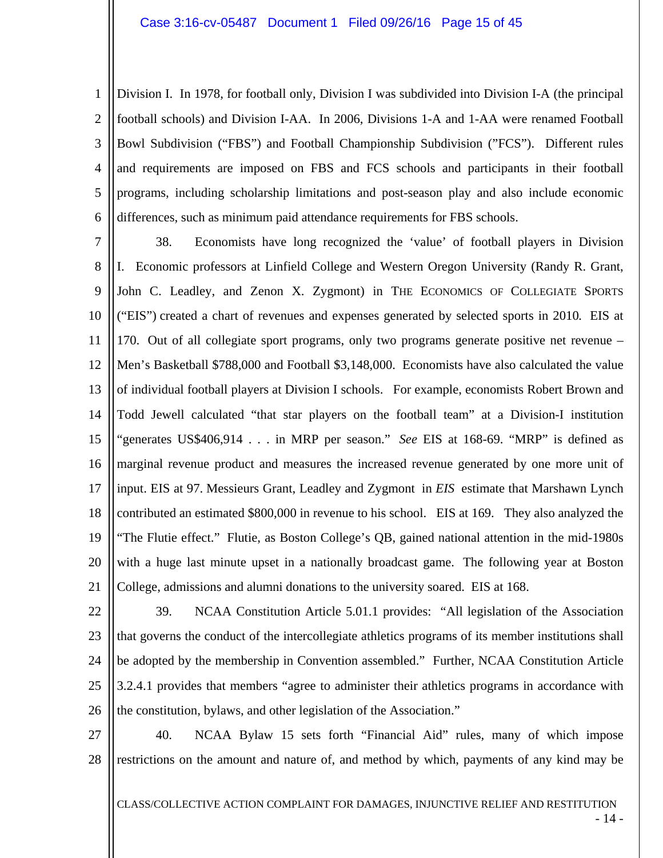1 2 3 4 5 6 Division I. In 1978, for football only, Division I was subdivided into Division I-A (the principal football schools) and Division I-AA. In 2006, Divisions 1-A and 1-AA were renamed Football Bowl Subdivision ("FBS") and Football Championship Subdivision ("FCS"). Different rules and requirements are imposed on FBS and FCS schools and participants in their football programs, including scholarship limitations and post-season play and also include economic differences, such as minimum paid attendance requirements for FBS schools.

7 8 9 10 11 12 13 14 15 16 17 18 19 20 21 38. Economists have long recognized the 'value' of football players in Division I. Economic professors at Linfield College and Western Oregon University (Randy R. Grant, John C. Leadley, and Zenon X. Zygmont) in THE ECONOMICS OF COLLEGIATE SPORTS ("EIS") created a chart of revenues and expenses generated by selected sports in 2010*.* EIS at 170. Out of all collegiate sport programs, only two programs generate positive net revenue – Men's Basketball \$788,000 and Football \$3,148,000. Economists have also calculated the value of individual football players at Division I schools. For example, economists Robert Brown and Todd Jewell calculated "that star players on the football team" at a Division-I institution "generates US\$406,914 . . . in MRP per season." *See* EIS at 168-69. "MRP" is defined as marginal revenue product and measures the increased revenue generated by one more unit of input. EIS at 97. Messieurs Grant, Leadley and Zygmont in *EIS* estimate that Marshawn Lynch contributed an estimated \$800,000 in revenue to his school. EIS at 169. They also analyzed the "The Flutie effect." Flutie, as Boston College's QB, gained national attention in the mid-1980s with a huge last minute upset in a nationally broadcast game. The following year at Boston College, admissions and alumni donations to the university soared. EIS at 168.

- 22 23 24 25 26 39. NCAA Constitution Article 5.01.1 provides: "All legislation of the Association that governs the conduct of the intercollegiate athletics programs of its member institutions shall be adopted by the membership in Convention assembled." Further, NCAA Constitution Article 3.2.4.1 provides that members "agree to administer their athletics programs in accordance with the constitution, bylaws, and other legislation of the Association."
- 27 28 40. NCAA Bylaw 15 sets forth "Financial Aid" rules, many of which impose restrictions on the amount and nature of, and method by which, payments of any kind may be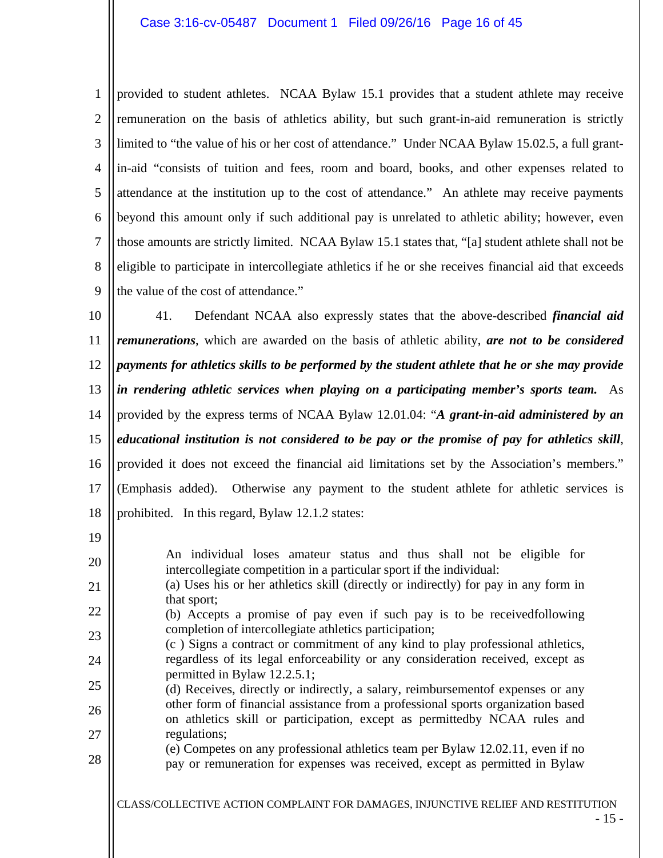1 2 3 4 5 6 7 8 9 provided to student athletes. NCAA Bylaw 15.1 provides that a student athlete may receive remuneration on the basis of athletics ability, but such grant-in-aid remuneration is strictly limited to "the value of his or her cost of attendance." Under NCAA Bylaw 15.02.5, a full grantin-aid "consists of tuition and fees, room and board, books, and other expenses related to attendance at the institution up to the cost of attendance." An athlete may receive payments beyond this amount only if such additional pay is unrelated to athletic ability; however, even those amounts are strictly limited. NCAA Bylaw 15.1 states that, "[a] student athlete shall not be eligible to participate in intercollegiate athletics if he or she receives financial aid that exceeds the value of the cost of attendance."

10 11 12 13 14 15 16 17 18 41. Defendant NCAA also expressly states that the above-described *financial aid remunerations*, which are awarded on the basis of athletic ability, *are not to be considered payments for athletics skills to be performed by the student athlete that he or she may provide in rendering athletic services when playing on a participating member's sports team.* As provided by the express terms of NCAA Bylaw 12.01.04: "*A grant-in-aid administered by an educational institution is not considered to be pay or the promise of pay for athletics skill*, provided it does not exceed the financial aid limitations set by the Association's members." (Emphasis added). Otherwise any payment to the student athlete for athletic services is prohibited. In this regard, Bylaw 12.1.2 states:

- An individual loses amateur status and thus shall not be eligible for intercollegiate competition in a particular sport if the individual: (a) Uses his or her athletics skill (directly or indirectly) for pay in any form in
- that sport;

19

20

21

- 22 23 (b) Accepts a promise of pay even if such pay is to be receivedfollowing completion of intercollegiate athletics participation;
- 24 (c ) Signs a contract or commitment of any kind to play professional athletics, regardless of its legal enforceability or any consideration received, except as permitted in Bylaw 12.2.5.1;
- 25 26 27 (d) Receives, directly or indirectly, a salary, reimbursementof expenses or any other form of financial assistance from a professional sports organization based on athletics skill or participation, except as permittedby NCAA rules and regulations;
- 28 (e) Competes on any professional athletics team per Bylaw 12.02.11, even if no pay or remuneration for expenses was received, except as permitted in Bylaw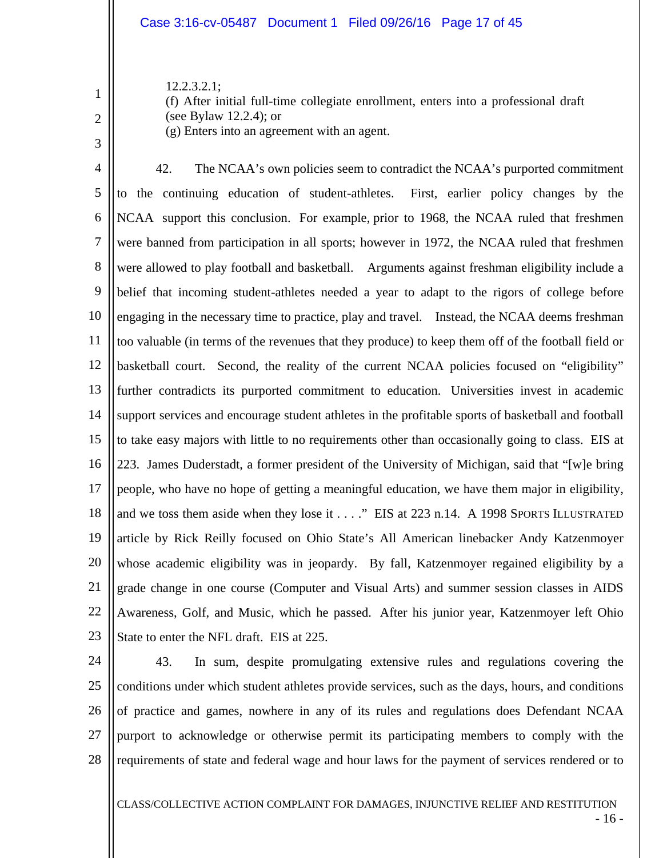### Case 3:16-cv-05487 Document 1 Filed 09/26/16 Page 17 of 45

12.2.3.2.1; (f) After initial full-time collegiate enrollment, enters into a professional draft (see Bylaw 12.2.4); or (g) Enters into an agreement with an agent.

2 3

1

4 5 6 7 8 9 10 11 12 13 14 15 16 17 18 19 20 21 22 23 42. The NCAA's own policies seem to contradict the NCAA's purported commitment to the continuing education of student-athletes. First, earlier policy changes by the NCAA support this conclusion. For example, prior to 1968, the NCAA ruled that freshmen were banned from participation in all sports; however in 1972, the NCAA ruled that freshmen were allowed to play football and basketball. Arguments against freshman eligibility include a belief that incoming student-athletes needed a year to adapt to the rigors of college before engaging in the necessary time to practice, play and travel. Instead, the NCAA deems freshman too valuable (in terms of the revenues that they produce) to keep them off of the football field or basketball court. Second, the reality of the current NCAA policies focused on "eligibility" further contradicts its purported commitment to education. Universities invest in academic support services and encourage student athletes in the profitable sports of basketball and football to take easy majors with little to no requirements other than occasionally going to class. EIS at 223. James Duderstadt, a former president of the University of Michigan, said that "[w]e bring people, who have no hope of getting a meaningful education, we have them major in eligibility, and we toss them aside when they lose it . . . ." EIS at 223 n.14. A 1998 SPORTS ILLUSTRATED article by Rick Reilly focused on Ohio State's All American linebacker Andy Katzenmoyer whose academic eligibility was in jeopardy. By fall, Katzenmoyer regained eligibility by a grade change in one course (Computer and Visual Arts) and summer session classes in AIDS Awareness, Golf, and Music, which he passed. After his junior year, Katzenmoyer left Ohio State to enter the NFL draft. EIS at 225.

24 25 26 27 28 43. In sum, despite promulgating extensive rules and regulations covering the conditions under which student athletes provide services, such as the days, hours, and conditions of practice and games, nowhere in any of its rules and regulations does Defendant NCAA purport to acknowledge or otherwise permit its participating members to comply with the requirements of state and federal wage and hour laws for the payment of services rendered or to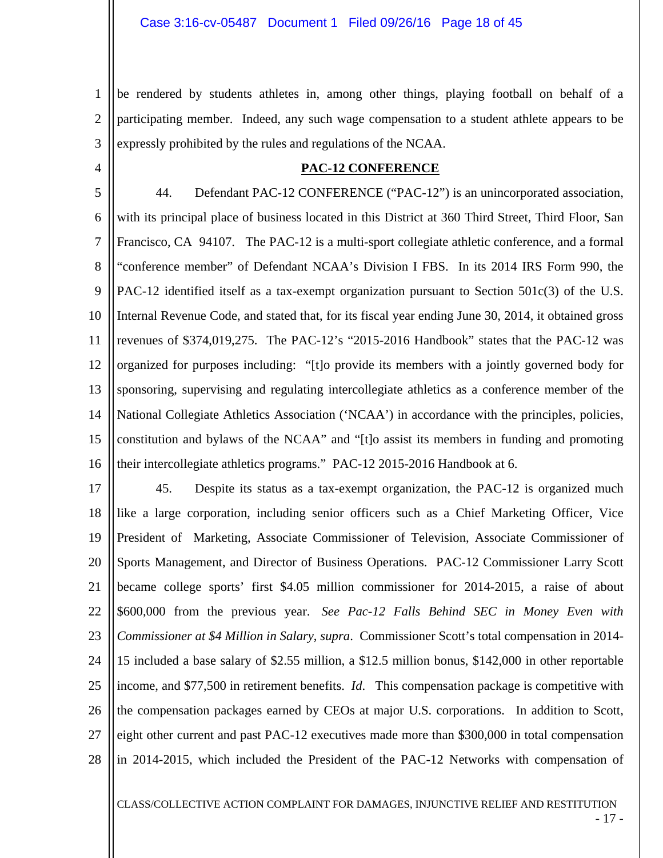1 2 3 be rendered by students athletes in, among other things, playing football on behalf of a participating member. Indeed, any such wage compensation to a student athlete appears to be expressly prohibited by the rules and regulations of the NCAA.

4

### **PAC-12 CONFERENCE**

5 6 7 8 9 10 11 12 13 14 15 16 44. Defendant PAC-12 CONFERENCE ("PAC-12") is an unincorporated association, with its principal place of business located in this District at 360 Third Street, Third Floor, San Francisco, CA 94107. The PAC-12 is a multi-sport collegiate athletic conference, and a formal "conference member" of Defendant NCAA's Division I FBS. In its 2014 IRS Form 990, the PAC-12 identified itself as a tax-exempt organization pursuant to Section 501c(3) of the U.S. Internal Revenue Code, and stated that, for its fiscal year ending June 30, 2014, it obtained gross revenues of \$374,019,275. The PAC-12's "2015-2016 Handbook" states that the PAC-12 was organized for purposes including: "[t]o provide its members with a jointly governed body for sponsoring, supervising and regulating intercollegiate athletics as a conference member of the National Collegiate Athletics Association ('NCAA') in accordance with the principles, policies, constitution and bylaws of the NCAA" and "[t]o assist its members in funding and promoting their intercollegiate athletics programs." PAC-12 2015-2016 Handbook at 6.

17 18 19 20 21 22 23 24 25 26 27 28 45. Despite its status as a tax-exempt organization, the PAC-12 is organized much like a large corporation, including senior officers such as a Chief Marketing Officer, Vice President of Marketing, Associate Commissioner of Television, Associate Commissioner of Sports Management, and Director of Business Operations. PAC-12 Commissioner Larry Scott became college sports' first \$4.05 million commissioner for 2014-2015, a raise of about \$600,000 from the previous year. *See Pac-12 Falls Behind SEC in Money Even with Commissioner at \$4 Million in Salary*, *supra*. Commissioner Scott's total compensation in 2014- 15 included a base salary of \$2.55 million, a \$12.5 million bonus, \$142,000 in other reportable income, and \$77,500 in retirement benefits. *Id*. This compensation package is competitive with the compensation packages earned by CEOs at major U.S. corporations. In addition to Scott, eight other current and past PAC-12 executives made more than \$300,000 in total compensation in 2014-2015, which included the President of the PAC-12 Networks with compensation of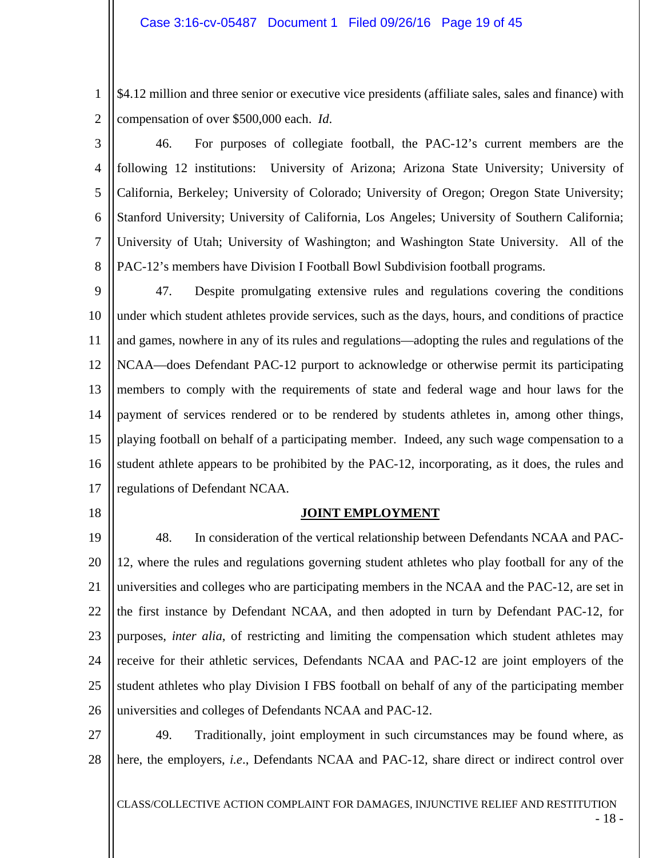1 2 \$4.12 million and three senior or executive vice presidents (affiliate sales, sales and finance) with compensation of over \$500,000 each. *Id*.

3

4 5 6 7 8 46. For purposes of collegiate football, the PAC-12's current members are the following 12 institutions: University of Arizona; Arizona State University; University of California, Berkeley; University of Colorado; University of Oregon; Oregon State University; Stanford University; University of California, Los Angeles; University of Southern California; University of Utah; University of Washington; and Washington State University. All of the PAC-12's members have Division I Football Bowl Subdivision football programs.

9 10 11 12 13 14 15 16 17 47. Despite promulgating extensive rules and regulations covering the conditions under which student athletes provide services, such as the days, hours, and conditions of practice and games, nowhere in any of its rules and regulations—adopting the rules and regulations of the NCAA—does Defendant PAC-12 purport to acknowledge or otherwise permit its participating members to comply with the requirements of state and federal wage and hour laws for the payment of services rendered or to be rendered by students athletes in, among other things, playing football on behalf of a participating member. Indeed, any such wage compensation to a student athlete appears to be prohibited by the PAC-12, incorporating, as it does, the rules and regulations of Defendant NCAA.

18

### **JOINT EMPLOYMENT**

19 20 21 22 23 24 25 26 48. In consideration of the vertical relationship between Defendants NCAA and PAC-12, where the rules and regulations governing student athletes who play football for any of the universities and colleges who are participating members in the NCAA and the PAC-12, are set in the first instance by Defendant NCAA, and then adopted in turn by Defendant PAC-12, for purposes, *inter alia*, of restricting and limiting the compensation which student athletes may receive for their athletic services, Defendants NCAA and PAC-12 are joint employers of the student athletes who play Division I FBS football on behalf of any of the participating member universities and colleges of Defendants NCAA and PAC-12.

27 28 49. Traditionally, joint employment in such circumstances may be found where, as here, the employers, *i.e*., Defendants NCAA and PAC-12, share direct or indirect control over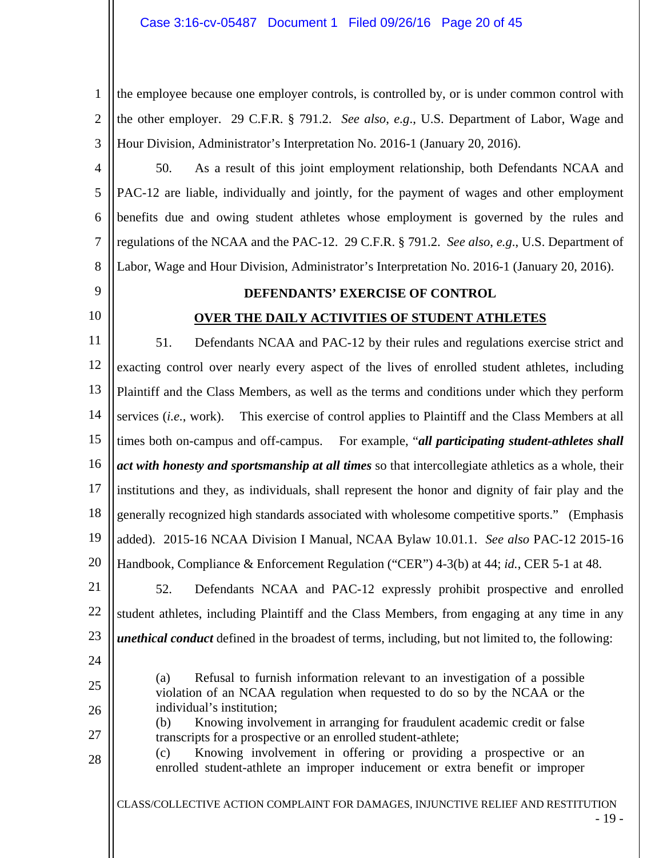1 2 3 the employee because one employer controls, is controlled by, or is under common control with the other employer. 29 C.F.R. § 791.2. *See also*, *e.g*., U.S. Department of Labor, Wage and Hour Division, Administrator's Interpretation No. 2016-1 (January 20, 2016).

4 5 6 7 8 50. As a result of this joint employment relationship, both Defendants NCAA and PAC-12 are liable, individually and jointly, for the payment of wages and other employment benefits due and owing student athletes whose employment is governed by the rules and regulations of the NCAA and the PAC-12. 29 C.F.R. § 791.2. *See also*, *e.g*., U.S. Department of Labor, Wage and Hour Division, Administrator's Interpretation No. 2016-1 (January 20, 2016).

- 9
- 10

## **DEFENDANTS' EXERCISE OF CONTROL**

# **OVER THE DAILY ACTIVITIES OF STUDENT ATHLETES**

11 12 13 14 15 16 17 18 19 20 51. Defendants NCAA and PAC-12 by their rules and regulations exercise strict and exacting control over nearly every aspect of the lives of enrolled student athletes, including Plaintiff and the Class Members, as well as the terms and conditions under which they perform services (*i.e.*, work). This exercise of control applies to Plaintiff and the Class Members at all times both on-campus and off-campus. For example, "*all participating student-athletes shall act with honesty and sportsmanship at all times* so that intercollegiate athletics as a whole, their institutions and they, as individuals, shall represent the honor and dignity of fair play and the generally recognized high standards associated with wholesome competitive sports." (Emphasis added). 2015-16 NCAA Division I Manual, NCAA Bylaw 10.01.1. *See also* PAC-12 2015-16 Handbook, Compliance & Enforcement Regulation ("CER") 4-3(b) at 44; *id.*, CER 5-1 at 48.

21 22 23 52. Defendants NCAA and PAC-12 expressly prohibit prospective and enrolled student athletes, including Plaintiff and the Class Members, from engaging at any time in any *unethical conduct* defined in the broadest of terms, including, but not limited to, the following:

- 24
- 25
- 26

28

27

individual's institution; (b) Knowing involvement in arranging for fraudulent academic credit or false transcripts for a prospective or an enrolled student-athlete;

(a) Refusal to furnish information relevant to an investigation of a possible violation of an NCAA regulation when requested to do so by the NCAA or the

(c) Knowing involvement in offering or providing a prospective or an enrolled student-athlete an improper inducement or extra benefit or improper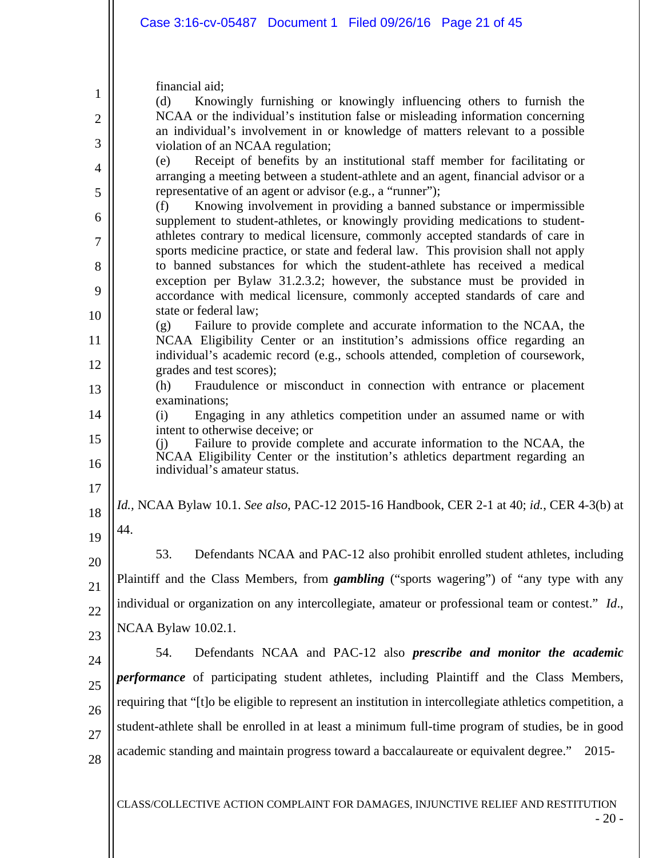financial aid;

| $\mathbf{1}$   | financial aid;                                                                                                                                                   |  |  |  |  |
|----------------|------------------------------------------------------------------------------------------------------------------------------------------------------------------|--|--|--|--|
| $\overline{2}$ | Knowingly furnishing or knowingly influencing others to furnish the<br>(d)<br>NCAA or the individual's institution false or misleading information concerning    |  |  |  |  |
| 3              | an individual's involvement in or knowledge of matters relevant to a possible<br>violation of an NCAA regulation;                                                |  |  |  |  |
| 4              | Receipt of benefits by an institutional staff member for facilitating or<br>(e)                                                                                  |  |  |  |  |
| 5              | arranging a meeting between a student-athlete and an agent, financial advisor or a<br>representative of an agent or advisor (e.g., a "runner");                  |  |  |  |  |
| 6              | Knowing involvement in providing a banned substance or impermissible<br>(f)                                                                                      |  |  |  |  |
| 7              | supplement to student-athletes, or knowingly providing medications to student-<br>athletes contrary to medical licensure, commonly accepted standards of care in |  |  |  |  |
| 8              | sports medicine practice, or state and federal law. This provision shall not apply<br>to banned substances for which the student-athlete has received a medical  |  |  |  |  |
|                | exception per Bylaw 31.2.3.2; however, the substance must be provided in                                                                                         |  |  |  |  |
| 9              | accordance with medical licensure, commonly accepted standards of care and<br>state or federal law;                                                              |  |  |  |  |
| 10             | Failure to provide complete and accurate information to the NCAA, the<br>(g)                                                                                     |  |  |  |  |
| 11             | NCAA Eligibility Center or an institution's admissions office regarding an<br>individual's academic record (e.g., schools attended, completion of coursework,    |  |  |  |  |
| 12             | grades and test scores);                                                                                                                                         |  |  |  |  |
| 13             | Fraudulence or misconduct in connection with entrance or placement<br>(h)<br>examinations;                                                                       |  |  |  |  |
| 14             | Engaging in any athletics competition under an assumed name or with<br>(i)                                                                                       |  |  |  |  |
| 15             | intent to otherwise deceive; or<br>Failure to provide complete and accurate information to the NCAA, the<br>(i)                                                  |  |  |  |  |
| 16             | NCAA Eligibility Center or the institution's athletics department regarding an<br>individual's amateur status.                                                   |  |  |  |  |
| 17             |                                                                                                                                                                  |  |  |  |  |
| 18             | <i>Id.</i> , NCAA Bylaw 10.1. See also, PAC-12 2015-16 Handbook, CER 2-1 at 40; <i>id.</i> , CER 4-3(b) at                                                       |  |  |  |  |
| 19             | 44.                                                                                                                                                              |  |  |  |  |
| 20             | 53.<br>Defendants NCAA and PAC-12 also prohibit enrolled student athletes, including                                                                             |  |  |  |  |
| 21             | Plaintiff and the Class Members, from <i>gambling</i> ("sports wagering") of "any type with any                                                                  |  |  |  |  |
| 22             | individual or organization on any intercollegiate, amateur or professional team or contest." Id.,                                                                |  |  |  |  |
| 23             | NCAA Bylaw 10.02.1.                                                                                                                                              |  |  |  |  |
| 24             | 54.<br>Defendants NCAA and PAC-12 also <i>prescribe and monitor the academic</i>                                                                                 |  |  |  |  |
| 25             | performance of participating student athletes, including Plaintiff and the Class Members,                                                                        |  |  |  |  |
| 26             | requiring that "[t]o be eligible to represent an institution in intercollegiate athletics competition, a                                                         |  |  |  |  |
|                | student-athlete shall be enrolled in at least a minimum full-time program of studies, be in good                                                                 |  |  |  |  |
| 27             | academic standing and maintain progress toward a baccalaureate or equivalent degree."<br>2015-                                                                   |  |  |  |  |
| 28             |                                                                                                                                                                  |  |  |  |  |
|                | CLASS/COLLECTIVE ACTION COMPLAINT FOR DAMAGES, INJUNCTIVE RELIEF AND RESTITUTION                                                                                 |  |  |  |  |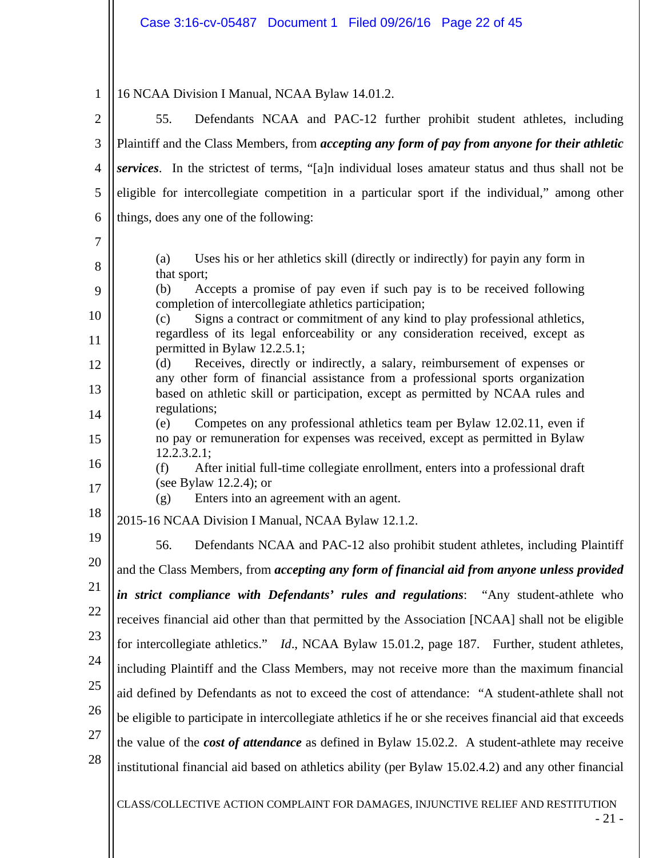1 2 3 4 5 6 7 8 9 10 11 12 13 14 15 16 17 18 19 20 21 22 23 24 25 26 27 28 16 NCAA Division I Manual, NCAA Bylaw 14.01.2. 55. Defendants NCAA and PAC-12 further prohibit student athletes, including Plaintiff and the Class Members, from *accepting any form of pay from anyone for their athletic services*. In the strictest of terms, "[a]n individual loses amateur status and thus shall not be eligible for intercollegiate competition in a particular sport if the individual," among other things, does any one of the following: (a) Uses his or her athletics skill (directly or indirectly) for payin any form in that sport; (b) Accepts a promise of pay even if such pay is to be received following completion of intercollegiate athletics participation; (c) Signs a contract or commitment of any kind to play professional athletics, regardless of its legal enforceability or any consideration received, except as permitted in Bylaw 12.2.5.1; (d) Receives, directly or indirectly, a salary, reimbursement of expenses or any other form of financial assistance from a professional sports organization based on athletic skill or participation, except as permitted by NCAA rules and regulations; (e) Competes on any professional athletics team per Bylaw 12.02.11, even if no pay or remuneration for expenses was received, except as permitted in Bylaw 12.2.3.2.1; (f) After initial full-time collegiate enrollment, enters into a professional draft (see Bylaw 12.2.4); or (g) Enters into an agreement with an agent. 2015-16 NCAA Division I Manual, NCAA Bylaw 12.1.2. 56. Defendants NCAA and PAC-12 also prohibit student athletes, including Plaintiff and the Class Members, from *accepting any form of financial aid from anyone unless provided in strict compliance with Defendants' rules and regulations*: "Any student-athlete who receives financial aid other than that permitted by the Association [NCAA] shall not be eligible for intercollegiate athletics." *Id*., NCAA Bylaw 15.01.2, page 187. Further, student athletes, including Plaintiff and the Class Members, may not receive more than the maximum financial aid defined by Defendants as not to exceed the cost of attendance: "A student-athlete shall not be eligible to participate in intercollegiate athletics if he or she receives financial aid that exceeds the value of the *cost of attendance* as defined in Bylaw 15.02.2. A student-athlete may receive institutional financial aid based on athletics ability (per Bylaw 15.02.4.2) and any other financial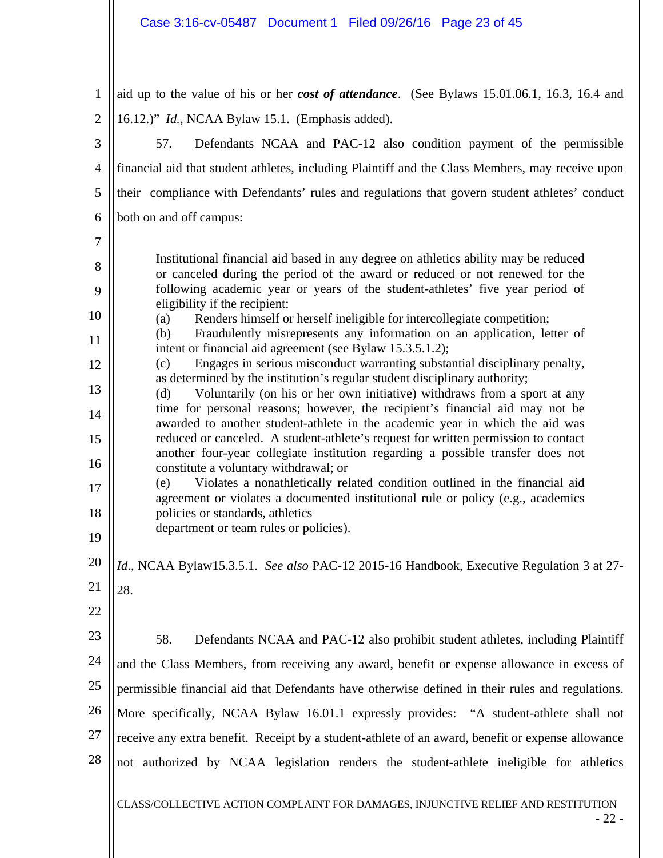# Case 3:16-cv-05487 Document 1 Filed 09/26/16 Page 23 of 45

| $\mathbf{1}$   | aid up to the value of his or her cost of attendance. (See Bylaws 15.01.06.1, 16.3, 16.4 and                                                                                                                                                                                                                                                                                            |  |  |  |  |  |
|----------------|-----------------------------------------------------------------------------------------------------------------------------------------------------------------------------------------------------------------------------------------------------------------------------------------------------------------------------------------------------------------------------------------|--|--|--|--|--|
| $\overline{2}$ | 16.12.)" Id., NCAA Bylaw 15.1. (Emphasis added).                                                                                                                                                                                                                                                                                                                                        |  |  |  |  |  |
| 3              | 57.<br>Defendants NCAA and PAC-12 also condition payment of the permissible                                                                                                                                                                                                                                                                                                             |  |  |  |  |  |
| 4              | financial aid that student athletes, including Plaintiff and the Class Members, may receive upon                                                                                                                                                                                                                                                                                        |  |  |  |  |  |
| 5              | their compliance with Defendants' rules and regulations that govern student athletes' conduct                                                                                                                                                                                                                                                                                           |  |  |  |  |  |
| 6              | both on and off campus:                                                                                                                                                                                                                                                                                                                                                                 |  |  |  |  |  |
| 7              |                                                                                                                                                                                                                                                                                                                                                                                         |  |  |  |  |  |
| 8              | Institutional financial aid based in any degree on athletics ability may be reduced<br>or canceled during the period of the award or reduced or not renewed for the                                                                                                                                                                                                                     |  |  |  |  |  |
| 9              | following academic year or years of the student-athletes' five year period of                                                                                                                                                                                                                                                                                                           |  |  |  |  |  |
| 10             | eligibility if the recipient:<br>Renders himself or herself ineligible for intercollegiate competition;<br>(a)                                                                                                                                                                                                                                                                          |  |  |  |  |  |
| 11             | Fraudulently misrepresents any information on an application, letter of<br>(b)<br>intent or financial aid agreement (see Bylaw 15.3.5.1.2);                                                                                                                                                                                                                                             |  |  |  |  |  |
| 12             | Engages in serious misconduct warranting substantial disciplinary penalty,<br>(c)<br>as determined by the institution's regular student disciplinary authority;                                                                                                                                                                                                                         |  |  |  |  |  |
| 13             | Voluntarily (on his or her own initiative) withdraws from a sport at any<br>(d)<br>time for personal reasons; however, the recipient's financial aid may not be<br>awarded to another student-athlete in the academic year in which the aid was                                                                                                                                         |  |  |  |  |  |
| 14             |                                                                                                                                                                                                                                                                                                                                                                                         |  |  |  |  |  |
| 15             | reduced or canceled. A student-athlete's request for written permission to contact<br>another four-year collegiate institution regarding a possible transfer does not<br>constitute a voluntary withdrawal; or<br>Violates a nonathletically related condition outlined in the financial aid<br>(e)<br>agreement or violates a documented institutional rule or policy (e.g., academics |  |  |  |  |  |
| 16             |                                                                                                                                                                                                                                                                                                                                                                                         |  |  |  |  |  |
| 17             |                                                                                                                                                                                                                                                                                                                                                                                         |  |  |  |  |  |
| 18             | policies or standards, athletics<br>department or team rules or policies).                                                                                                                                                                                                                                                                                                              |  |  |  |  |  |
| 19             |                                                                                                                                                                                                                                                                                                                                                                                         |  |  |  |  |  |
| 20             | Id., NCAA Bylaw15.3.5.1. See also PAC-12 2015-16 Handbook, Executive Regulation 3 at 27-                                                                                                                                                                                                                                                                                                |  |  |  |  |  |
| 21             | 28.                                                                                                                                                                                                                                                                                                                                                                                     |  |  |  |  |  |
| 22             |                                                                                                                                                                                                                                                                                                                                                                                         |  |  |  |  |  |
| 23             | 58.<br>Defendants NCAA and PAC-12 also prohibit student athletes, including Plaintiff                                                                                                                                                                                                                                                                                                   |  |  |  |  |  |
| 24             | and the Class Members, from receiving any award, benefit or expense allowance in excess of                                                                                                                                                                                                                                                                                              |  |  |  |  |  |
| 25             | permissible financial aid that Defendants have otherwise defined in their rules and regulations.                                                                                                                                                                                                                                                                                        |  |  |  |  |  |
| 26             | More specifically, NCAA Bylaw 16.01.1 expressly provides: "A student-athlete shall not                                                                                                                                                                                                                                                                                                  |  |  |  |  |  |
| 27             | receive any extra benefit. Receipt by a student-athlete of an award, benefit or expense allowance                                                                                                                                                                                                                                                                                       |  |  |  |  |  |
| 28             | not authorized by NCAA legislation renders the student-athlete ineligible for athletics                                                                                                                                                                                                                                                                                                 |  |  |  |  |  |
|                |                                                                                                                                                                                                                                                                                                                                                                                         |  |  |  |  |  |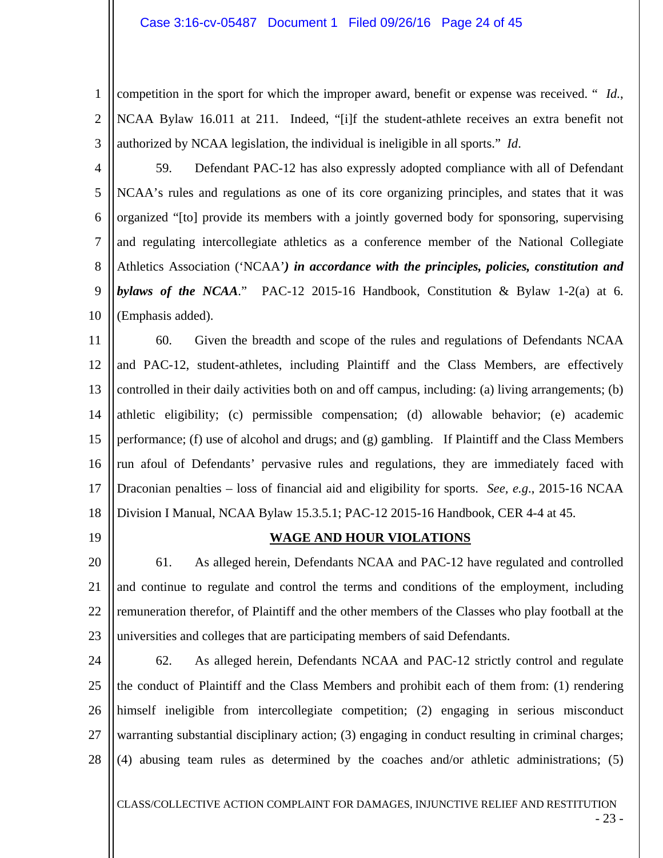1 2 3 competition in the sport for which the improper award, benefit or expense was received. " *Id.*, NCAA Bylaw 16.011 at 211. Indeed, "[i]f the student-athlete receives an extra benefit not authorized by NCAA legislation, the individual is ineligible in all sports." *Id*.

4

5 6 7 8 9 10 59. Defendant PAC-12 has also expressly adopted compliance with all of Defendant NCAA's rules and regulations as one of its core organizing principles, and states that it was organized "[to] provide its members with a jointly governed body for sponsoring, supervising and regulating intercollegiate athletics as a conference member of the National Collegiate Athletics Association ('NCAA'*) in accordance with the principles, policies, constitution and bylaws of the NCAA*." PAC-12 2015-16 Handbook, Constitution & Bylaw 1-2(a) at 6. (Emphasis added).

11 12 13 14 15 16 17 18 60. Given the breadth and scope of the rules and regulations of Defendants NCAA and PAC-12, student-athletes, including Plaintiff and the Class Members, are effectively controlled in their daily activities both on and off campus, including: (a) living arrangements; (b) athletic eligibility; (c) permissible compensation; (d) allowable behavior; (e) academic performance; (f) use of alcohol and drugs; and (g) gambling. If Plaintiff and the Class Members run afoul of Defendants' pervasive rules and regulations, they are immediately faced with Draconian penalties – loss of financial aid and eligibility for sports. *See, e.g*., 2015-16 NCAA Division I Manual, NCAA Bylaw 15.3.5.1; PAC-12 2015-16 Handbook, CER 4-4 at 45.

19

# **WAGE AND HOUR VIOLATIONS**

20 21 22 23 61. As alleged herein, Defendants NCAA and PAC-12 have regulated and controlled and continue to regulate and control the terms and conditions of the employment, including remuneration therefor, of Plaintiff and the other members of the Classes who play football at the universities and colleges that are participating members of said Defendants.

24 25 26 27 28 62. As alleged herein, Defendants NCAA and PAC-12 strictly control and regulate the conduct of Plaintiff and the Class Members and prohibit each of them from: (1) rendering himself ineligible from intercollegiate competition; (2) engaging in serious misconduct warranting substantial disciplinary action; (3) engaging in conduct resulting in criminal charges; (4) abusing team rules as determined by the coaches and/or athletic administrations; (5)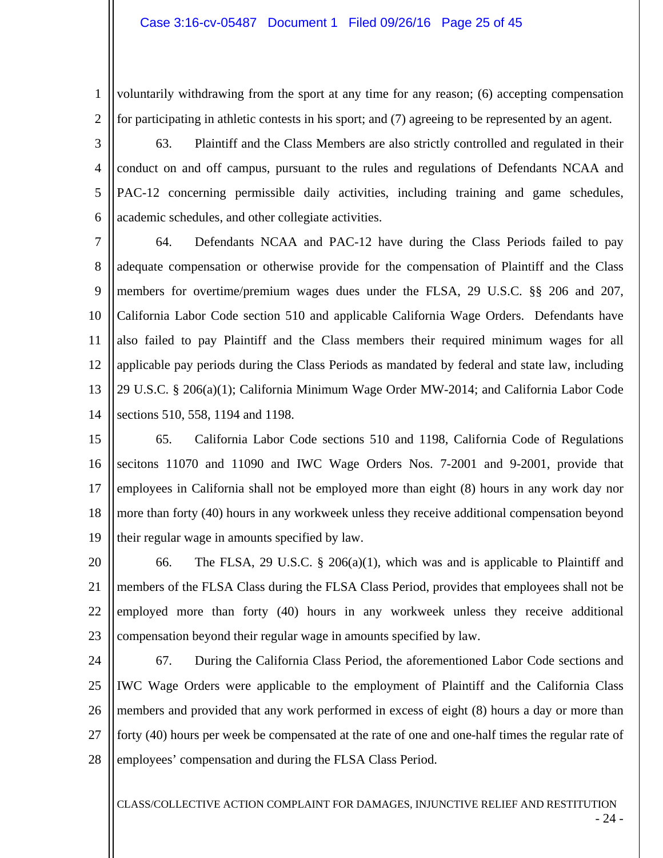1 2 voluntarily withdrawing from the sport at any time for any reason; (6) accepting compensation for participating in athletic contests in his sport; and (7) agreeing to be represented by an agent.

3 4 5 6 63. Plaintiff and the Class Members are also strictly controlled and regulated in their conduct on and off campus, pursuant to the rules and regulations of Defendants NCAA and PAC-12 concerning permissible daily activities, including training and game schedules, academic schedules, and other collegiate activities.

7 8 9 10 11 12 13 14 64. Defendants NCAA and PAC-12 have during the Class Periods failed to pay adequate compensation or otherwise provide for the compensation of Plaintiff and the Class members for overtime/premium wages dues under the FLSA, 29 U.S.C. §§ 206 and 207, California Labor Code section 510 and applicable California Wage Orders. Defendants have also failed to pay Plaintiff and the Class members their required minimum wages for all applicable pay periods during the Class Periods as mandated by federal and state law, including 29 U.S.C. § 206(a)(1); California Minimum Wage Order MW-2014; and California Labor Code sections 510, 558, 1194 and 1198.

- 15 16 17 18 19 65. California Labor Code sections 510 and 1198, California Code of Regulations secitons 11070 and 11090 and IWC Wage Orders Nos. 7-2001 and 9-2001, provide that employees in California shall not be employed more than eight (8) hours in any work day nor more than forty (40) hours in any workweek unless they receive additional compensation beyond their regular wage in amounts specified by law.
- 20 21 22 23 66. The FLSA, 29 U.S.C. § 206(a)(1), which was and is applicable to Plaintiff and members of the FLSA Class during the FLSA Class Period, provides that employees shall not be employed more than forty (40) hours in any workweek unless they receive additional compensation beyond their regular wage in amounts specified by law.
- 24 25 26 27 28 67. During the California Class Period, the aforementioned Labor Code sections and IWC Wage Orders were applicable to the employment of Plaintiff and the California Class members and provided that any work performed in excess of eight (8) hours a day or more than forty (40) hours per week be compensated at the rate of one and one-half times the regular rate of employees' compensation and during the FLSA Class Period.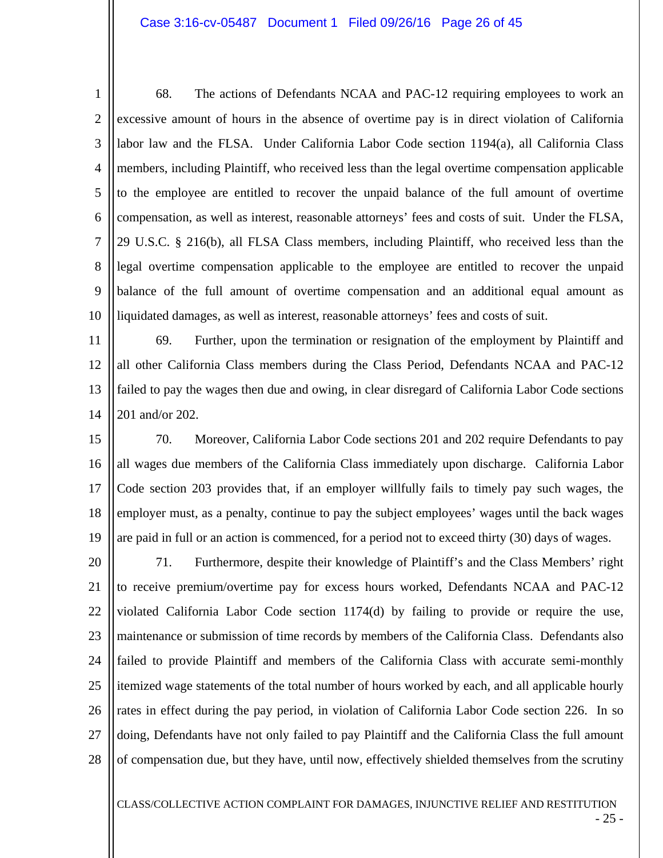### Case 3:16-cv-05487 Document 1 Filed 09/26/16 Page 26 of 45

1 2 3 4 5 6 7 8 9 10 68. The actions of Defendants NCAA and PAC-12 requiring employees to work an excessive amount of hours in the absence of overtime pay is in direct violation of California labor law and the FLSA. Under California Labor Code section 1194(a), all California Class members, including Plaintiff, who received less than the legal overtime compensation applicable to the employee are entitled to recover the unpaid balance of the full amount of overtime compensation, as well as interest, reasonable attorneys' fees and costs of suit. Under the FLSA, 29 U.S.C. § 216(b), all FLSA Class members, including Plaintiff, who received less than the legal overtime compensation applicable to the employee are entitled to recover the unpaid balance of the full amount of overtime compensation and an additional equal amount as liquidated damages, as well as interest, reasonable attorneys' fees and costs of suit.

11 12 13 14 69. Further, upon the termination or resignation of the employment by Plaintiff and all other California Class members during the Class Period, Defendants NCAA and PAC-12 failed to pay the wages then due and owing, in clear disregard of California Labor Code sections 201 and/or 202.

15 16 17 18 19 70. Moreover, California Labor Code sections 201 and 202 require Defendants to pay all wages due members of the California Class immediately upon discharge. California Labor Code section 203 provides that, if an employer willfully fails to timely pay such wages, the employer must, as a penalty, continue to pay the subject employees' wages until the back wages are paid in full or an action is commenced, for a period not to exceed thirty (30) days of wages.

20 21 22 23 24 25 26 27 28 71. Furthermore, despite their knowledge of Plaintiff's and the Class Members' right to receive premium/overtime pay for excess hours worked, Defendants NCAA and PAC-12 violated California Labor Code section 1174(d) by failing to provide or require the use, maintenance or submission of time records by members of the California Class. Defendants also failed to provide Plaintiff and members of the California Class with accurate semi-monthly itemized wage statements of the total number of hours worked by each, and all applicable hourly rates in effect during the pay period, in violation of California Labor Code section 226. In so doing, Defendants have not only failed to pay Plaintiff and the California Class the full amount of compensation due, but they have, until now, effectively shielded themselves from the scrutiny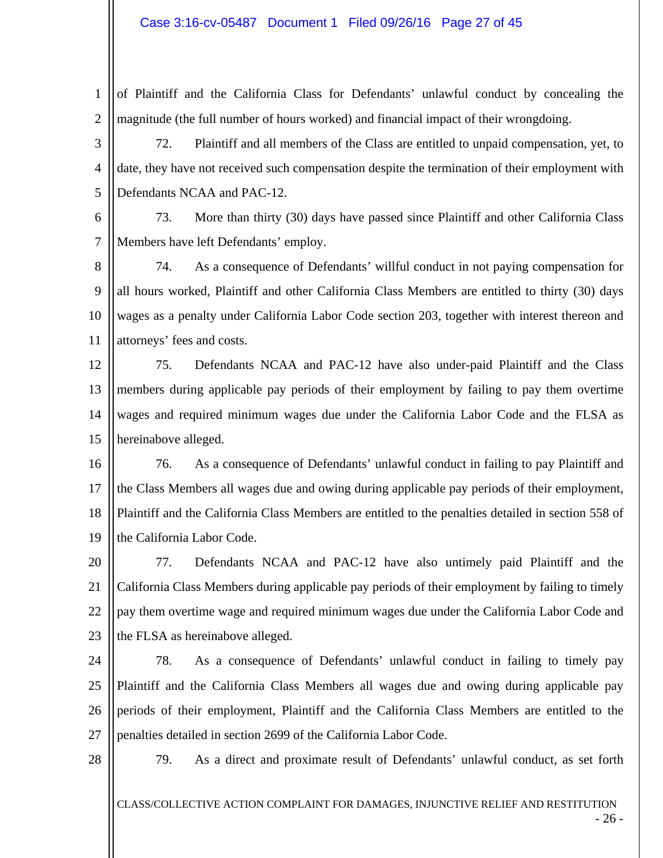### Case 3:16-cv-05487 Document 1 Filed 09/26/16 Page 27 of 45

1 2 of Plaintiff and the California Class for Defendants' unlawful conduct by concealing the magnitude (the full number of hours worked) and financial impact of their wrongdoing.

3 4 5 72. Plaintiff and all members of the Class are entitled to unpaid compensation, yet, to date, they have not received such compensation despite the termination of their employment with Defendants NCAA and PAC-12.

6 7 73. More than thirty (30) days have passed since Plaintiff and other California Class Members have left Defendants' employ.

8 9 10 11 74. As a consequence of Defendants' willful conduct in not paying compensation for all hours worked, Plaintiff and other California Class Members are entitled to thirty (30) days wages as a penalty under California Labor Code section 203, together with interest thereon and attorneys' fees and costs.

12 13 14 15 75. Defendants NCAA and PAC-12 have also under-paid Plaintiff and the Class members during applicable pay periods of their employment by failing to pay them overtime wages and required minimum wages due under the California Labor Code and the FLSA as hereinabove alleged.

16 17 18 19 76. As a consequence of Defendants' unlawful conduct in failing to pay Plaintiff and the Class Members all wages due and owing during applicable pay periods of their employment, Plaintiff and the California Class Members are entitled to the penalties detailed in section 558 of the California Labor Code.

20 21 22 23 77. Defendants NCAA and PAC-12 have also untimely paid Plaintiff and the California Class Members during applicable pay periods of their employment by failing to timely pay them overtime wage and required minimum wages due under the California Labor Code and the FLSA as hereinabove alleged.

24 25 26 27 78. As a consequence of Defendants' unlawful conduct in failing to timely pay Plaintiff and the California Class Members all wages due and owing during applicable pay periods of their employment, Plaintiff and the California Class Members are entitled to the penalties detailed in section 2699 of the California Labor Code.

28

79. As a direct and proximate result of Defendants' unlawful conduct, as set forth

CLASS/COLLECTIVE ACTION COMPLAINT FOR DAMAGES, INJUNCTIVE RELIEF AND RESTITUTION

- 26 -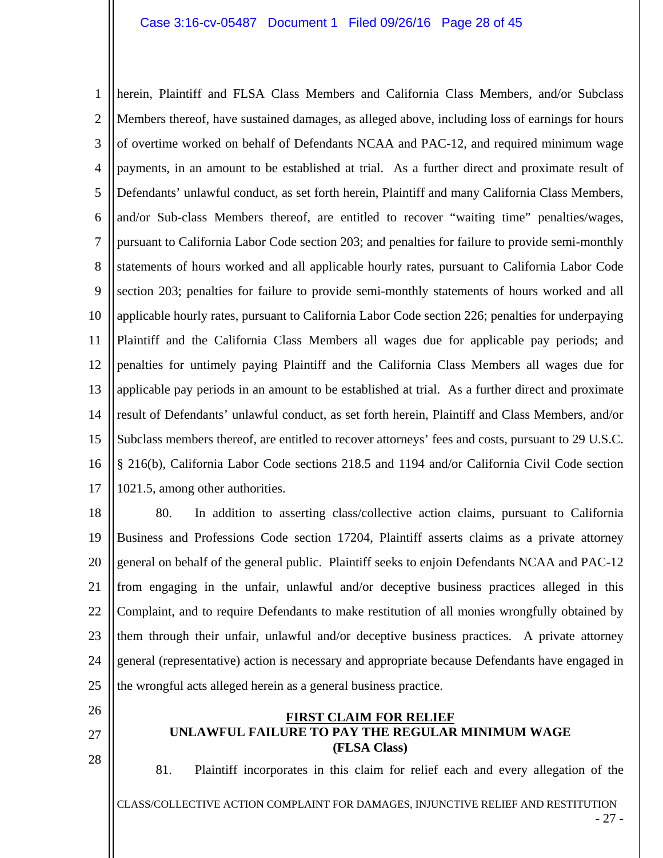1 2 3 4 5 6 7 8 9 10 11 12 13 14 15 16 17 herein, Plaintiff and FLSA Class Members and California Class Members, and/or Subclass Members thereof, have sustained damages, as alleged above, including loss of earnings for hours of overtime worked on behalf of Defendants NCAA and PAC-12, and required minimum wage payments, in an amount to be established at trial. As a further direct and proximate result of Defendants' unlawful conduct, as set forth herein, Plaintiff and many California Class Members, and/or Sub-class Members thereof, are entitled to recover "waiting time" penalties/wages, pursuant to California Labor Code section 203; and penalties for failure to provide semi-monthly statements of hours worked and all applicable hourly rates, pursuant to California Labor Code section 203; penalties for failure to provide semi-monthly statements of hours worked and all applicable hourly rates, pursuant to California Labor Code section 226; penalties for underpaying Plaintiff and the California Class Members all wages due for applicable pay periods; and penalties for untimely paying Plaintiff and the California Class Members all wages due for applicable pay periods in an amount to be established at trial. As a further direct and proximate result of Defendants' unlawful conduct, as set forth herein, Plaintiff and Class Members, and/or Subclass members thereof, are entitled to recover attorneys' fees and costs, pursuant to 29 U.S.C. § 216(b), California Labor Code sections 218.5 and 1194 and/or California Civil Code section 1021.5, among other authorities.

18 19 20 21 22 23 24 25 80. In addition to asserting class/collective action claims, pursuant to California Business and Professions Code section 17204, Plaintiff asserts claims as a private attorney general on behalf of the general public. Plaintiff seeks to enjoin Defendants NCAA and PAC-12 from engaging in the unfair, unlawful and/or deceptive business practices alleged in this Complaint, and to require Defendants to make restitution of all monies wrongfully obtained by them through their unfair, unlawful and/or deceptive business practices. A private attorney general (representative) action is necessary and appropriate because Defendants have engaged in the wrongful acts alleged herein as a general business practice.

- 26
- 27
- 28

### **FIRST CLAIM FOR RELIEF UNLAWFUL FAILURE TO PAY THE REGULAR MINIMUM WAGE (FLSA Class)**

81. Plaintiff incorporates in this claim for relief each and every allegation of the

CLASS/COLLECTIVE ACTION COMPLAINT FOR DAMAGES, INJUNCTIVE RELIEF AND RESTITUTION

- 27 -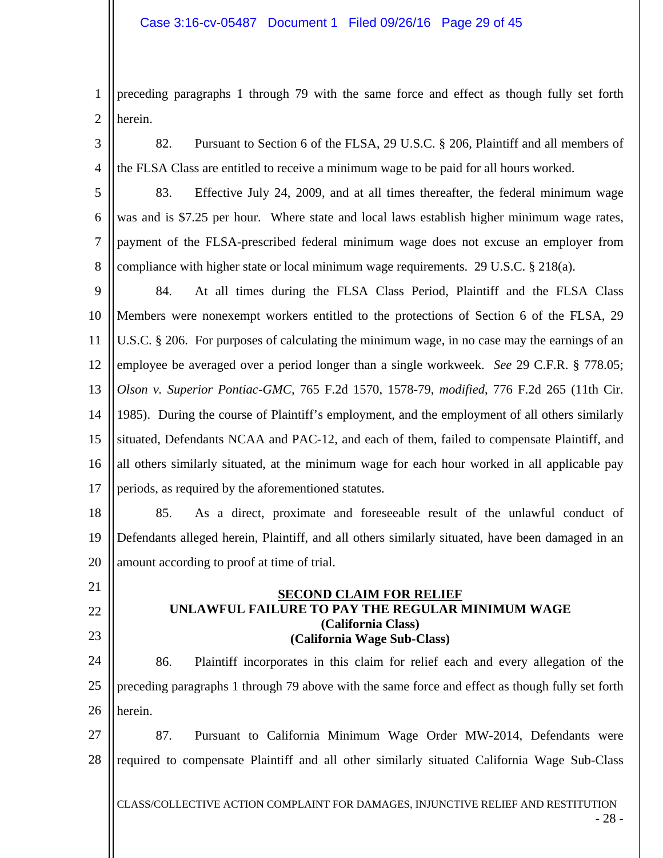1 2 preceding paragraphs 1 through 79 with the same force and effect as though fully set forth herein.

3

4

82. Pursuant to Section 6 of the FLSA, 29 U.S.C. § 206, Plaintiff and all members of the FLSA Class are entitled to receive a minimum wage to be paid for all hours worked.

5 6 7 8 83. Effective July 24, 2009, and at all times thereafter, the federal minimum wage was and is \$7.25 per hour. Where state and local laws establish higher minimum wage rates, payment of the FLSA-prescribed federal minimum wage does not excuse an employer from compliance with higher state or local minimum wage requirements. 29 U.S.C. § 218(a).

9 10 11 12 13 14 15 16 17 84. At all times during the FLSA Class Period, Plaintiff and the FLSA Class Members were nonexempt workers entitled to the protections of Section 6 of the FLSA, 29 U.S.C. § 206. For purposes of calculating the minimum wage, in no case may the earnings of an employee be averaged over a period longer than a single workweek. *See* 29 C.F.R. § 778.05; *Olson v. Superior Pontiac-GMC,* 765 F.2d 1570, 1578-79, *modified*, 776 F.2d 265 (11th Cir. 1985). During the course of Plaintiff's employment, and the employment of all others similarly situated, Defendants NCAA and PAC-12, and each of them, failed to compensate Plaintiff, and all others similarly situated, at the minimum wage for each hour worked in all applicable pay periods, as required by the aforementioned statutes.

18 19 20 85. As a direct, proximate and foreseeable result of the unlawful conduct of Defendants alleged herein, Plaintiff, and all others similarly situated, have been damaged in an amount according to proof at time of trial.

- 21
- 22 23

### **SECOND CLAIM FOR RELIEF UNLAWFUL FAILURE TO PAY THE REGULAR MINIMUM WAGE (California Class) (California Wage Sub-Class)**

24 25 26 86. Plaintiff incorporates in this claim for relief each and every allegation of the preceding paragraphs 1 through 79 above with the same force and effect as though fully set forth herein.

27 28 87. Pursuant to California Minimum Wage Order MW-2014, Defendants were required to compensate Plaintiff and all other similarly situated California Wage Sub-Class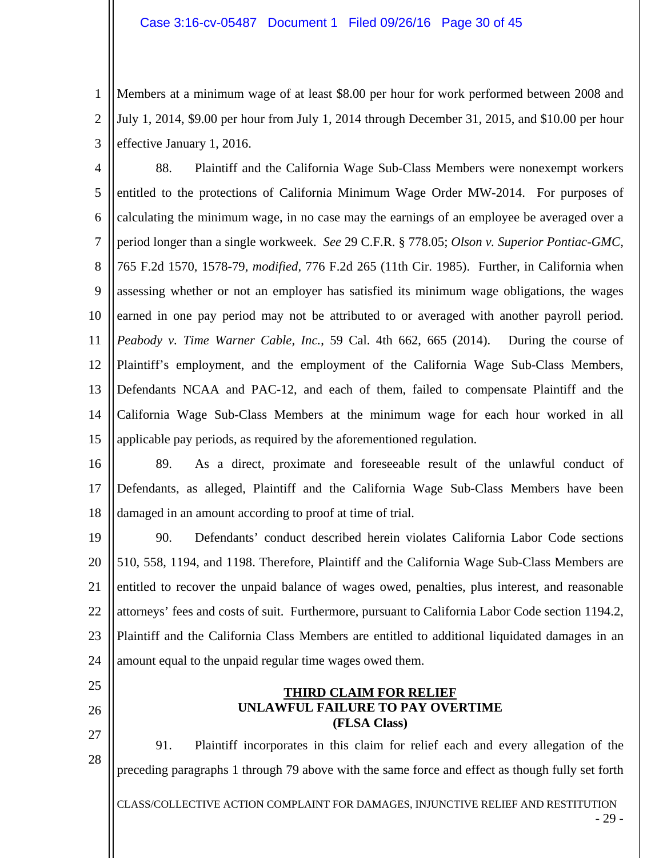1 2 3 Members at a minimum wage of at least \$8.00 per hour for work performed between 2008 and July 1, 2014, \$9.00 per hour from July 1, 2014 through December 31, 2015, and \$10.00 per hour effective January 1, 2016.

4 5 6 7 8 9 10 11 12 13 14 15 88. Plaintiff and the California Wage Sub-Class Members were nonexempt workers entitled to the protections of California Minimum Wage Order MW-2014. For purposes of calculating the minimum wage, in no case may the earnings of an employee be averaged over a period longer than a single workweek. *See* 29 C.F.R. § 778.05; *Olson v. Superior Pontiac-GMC,* 765 F.2d 1570, 1578-79, *modified*, 776 F.2d 265 (11th Cir. 1985). Further, in California when assessing whether or not an employer has satisfied its minimum wage obligations, the wages earned in one pay period may not be attributed to or averaged with another payroll period. *Peabody v. Time Warner Cable, Inc.*, 59 Cal. 4th 662, 665 (2014). During the course of Plaintiff's employment, and the employment of the California Wage Sub-Class Members, Defendants NCAA and PAC-12, and each of them, failed to compensate Plaintiff and the California Wage Sub-Class Members at the minimum wage for each hour worked in all applicable pay periods, as required by the aforementioned regulation.

16 17 18 89. As a direct, proximate and foreseeable result of the unlawful conduct of Defendants, as alleged, Plaintiff and the California Wage Sub-Class Members have been damaged in an amount according to proof at time of trial.

19 20 21 22 23 24 90. Defendants' conduct described herein violates California Labor Code sections 510, 558, 1194, and 1198. Therefore, Plaintiff and the California Wage Sub-Class Members are entitled to recover the unpaid balance of wages owed, penalties, plus interest, and reasonable attorneys' fees and costs of suit. Furthermore, pursuant to California Labor Code section 1194.2, Plaintiff and the California Class Members are entitled to additional liquidated damages in an amount equal to the unpaid regular time wages owed them.

- 25
- 26

27 28

91. Plaintiff incorporates in this claim for relief each and every allegation of the preceding paragraphs 1 through 79 above with the same force and effect as though fully set forth

**THIRD CLAIM FOR RELIEF UNLAWFUL FAILURE TO PAY OVERTIME (FLSA Class)**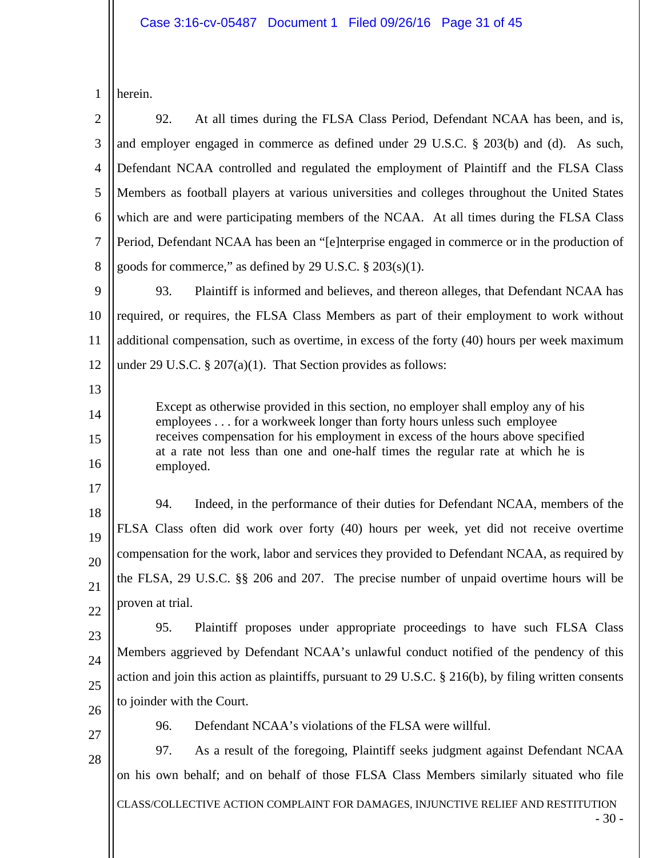| herein. |  |
|---------|--|

2 3 4 5 6 7 8 92. At all times during the FLSA Class Period, Defendant NCAA has been, and is, and employer engaged in commerce as defined under 29 U.S.C. § 203(b) and (d). As such, Defendant NCAA controlled and regulated the employment of Plaintiff and the FLSA Class Members as football players at various universities and colleges throughout the United States which are and were participating members of the NCAA. At all times during the FLSA Class Period, Defendant NCAA has been an "[e]nterprise engaged in commerce or in the production of goods for commerce," as defined by 29 U.S.C.  $\S$  203(s)(1).

9 10 11 12 93. Plaintiff is informed and believes, and thereon alleges, that Defendant NCAA has required, or requires, the FLSA Class Members as part of their employment to work without additional compensation, such as overtime, in excess of the forty (40) hours per week maximum under 29 U.S.C.  $\S 207(a)(1)$ . That Section provides as follows:

Except as otherwise provided in this section, no employer shall employ any of his employees . . . for a workweek longer than forty hours unless such employee receives compensation for his employment in excess of the hours above specified at a rate not less than one and one-half times the regular rate at which he is employed.

18 19 20 21 22 94. Indeed, in the performance of their duties for Defendant NCAA, members of the FLSA Class often did work over forty (40) hours per week, yet did not receive overtime compensation for the work, labor and services they provided to Defendant NCAA, as required by the FLSA, 29 U.S.C. §§ 206 and 207. The precise number of unpaid overtime hours will be proven at trial.

23 24 25 26 95. Plaintiff proposes under appropriate proceedings to have such FLSA Class Members aggrieved by Defendant NCAA's unlawful conduct notified of the pendency of this action and join this action as plaintiffs, pursuant to 29 U.S.C. § 216(b), by filing written consents to joinder with the Court.

27

28

13

14

15

16

17

96. Defendant NCAA's violations of the FLSA were willful.

97. As a result of the foregoing, Plaintiff seeks judgment against Defendant NCAA on his own behalf; and on behalf of those FLSA Class Members similarly situated who file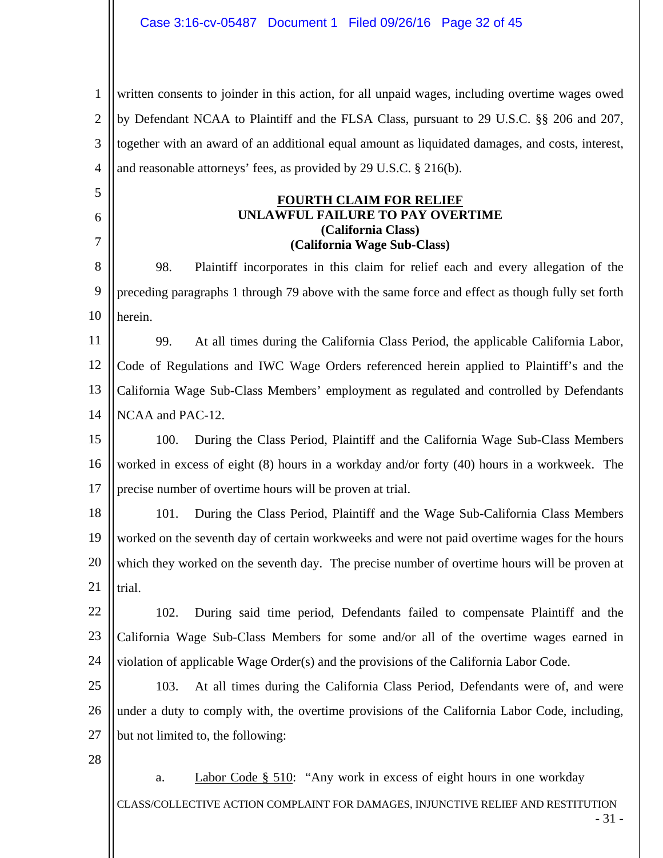1 2 3 4 written consents to joinder in this action, for all unpaid wages, including overtime wages owed by Defendant NCAA to Plaintiff and the FLSA Class, pursuant to 29 U.S.C. §§ 206 and 207, together with an award of an additional equal amount as liquidated damages, and costs, interest, and reasonable attorneys' fees, as provided by 29 U.S.C. § 216(b).

# **FOURTH CLAIM FOR RELIEF UNLAWFUL FAILURE TO PAY OVERTIME (California Class) (California Wage Sub-Class)**

8 9 10 98. Plaintiff incorporates in this claim for relief each and every allegation of the preceding paragraphs 1 through 79 above with the same force and effect as though fully set forth herein.

11 12 13 14 99. At all times during the California Class Period, the applicable California Labor, Code of Regulations and IWC Wage Orders referenced herein applied to Plaintiff's and the California Wage Sub-Class Members' employment as regulated and controlled by Defendants NCAA and PAC-12.

15 16 17 100. During the Class Period, Plaintiff and the California Wage Sub-Class Members worked in excess of eight (8) hours in a workday and/or forty (40) hours in a workweek. The precise number of overtime hours will be proven at trial.

18 19 20 21 101. During the Class Period, Plaintiff and the Wage Sub-California Class Members worked on the seventh day of certain workweeks and were not paid overtime wages for the hours which they worked on the seventh day. The precise number of overtime hours will be proven at trial.

22 23 24 102. During said time period, Defendants failed to compensate Plaintiff and the California Wage Sub-Class Members for some and/or all of the overtime wages earned in violation of applicable Wage Order(s) and the provisions of the California Labor Code.

25 26 27 103. At all times during the California Class Period, Defendants were of, and were under a duty to comply with, the overtime provisions of the California Labor Code, including, but not limited to, the following:

28

5

6

7

CLASS/COLLECTIVE ACTION COMPLAINT FOR DAMAGES, INJUNCTIVE RELIEF AND RESTITUTION a. Labor Code § 510: "Any work in excess of eight hours in one workday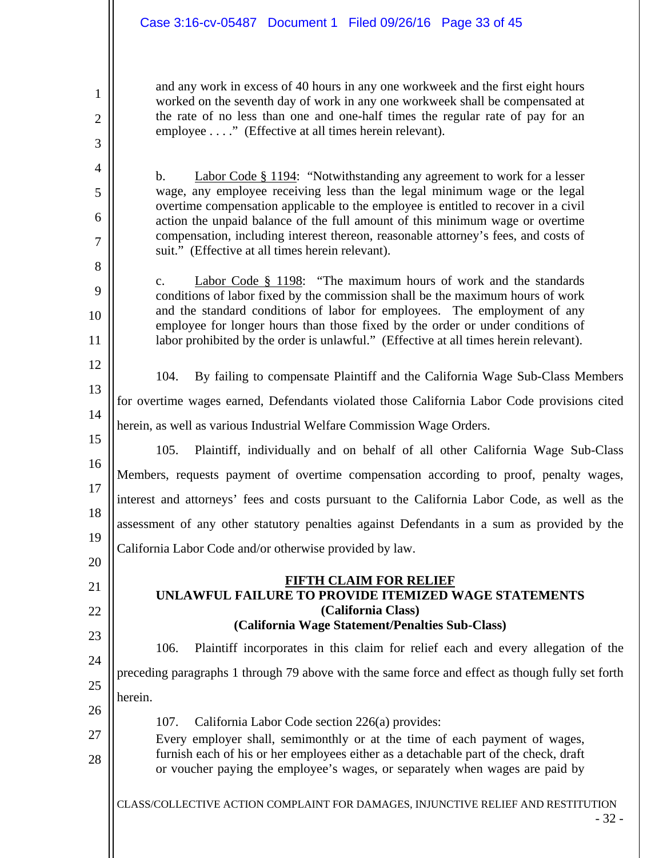# Case 3:16-cv-05487 Document 1 Filed 09/26/16 Page 33 of 45

and any work in excess of 40 hours in any one workweek and the first eight hours worked on the seventh day of work in any one workweek shall be compensated at the rate of no less than one and one-half times the regular rate of pay for an employee . . . ." (Effective at all times herein relevant).

b. Labor Code § 1194: "Notwithstanding any agreement to work for a lesser wage, any employee receiving less than the legal minimum wage or the legal overtime compensation applicable to the employee is entitled to recover in a civil action the unpaid balance of the full amount of this minimum wage or overtime compensation, including interest thereon, reasonable attorney's fees, and costs of suit." (Effective at all times herein relevant).

c. Labor Code § 1198: "The maximum hours of work and the standards conditions of labor fixed by the commission shall be the maximum hours of work and the standard conditions of labor for employees. The employment of any employee for longer hours than those fixed by the order or under conditions of labor prohibited by the order is unlawful." (Effective at all times herein relevant).

12 13

14

21

22

26

27

28

1

2

3

4

5

6

7

8

9

10

11

104. By failing to compensate Plaintiff and the California Wage Sub-Class Members for overtime wages earned, Defendants violated those California Labor Code provisions cited

herein, as well as various Industrial Welfare Commission Wage Orders.

15 16 17 18 19 20 105. Plaintiff, individually and on behalf of all other California Wage Sub-Class Members, requests payment of overtime compensation according to proof, penalty wages, interest and attorneys' fees and costs pursuant to the California Labor Code, as well as the assessment of any other statutory penalties against Defendants in a sum as provided by the California Labor Code and/or otherwise provided by law.

### **FIFTH CLAIM FOR RELIEF UNLAWFUL FAILURE TO PROVIDE ITEMIZED WAGE STATEMENTS (California Class) (California Wage Statement/Penalties Sub-Class)**

23 24 25 106. Plaintiff incorporates in this claim for relief each and every allegation of the preceding paragraphs 1 through 79 above with the same force and effect as though fully set forth herein.

- 107. California Labor Code section 226(a) provides:
- Every employer shall, semimonthly or at the time of each payment of wages, furnish each of his or her employees either as a detachable part of the check, draft or voucher paying the employee's wages, or separately when wages are paid by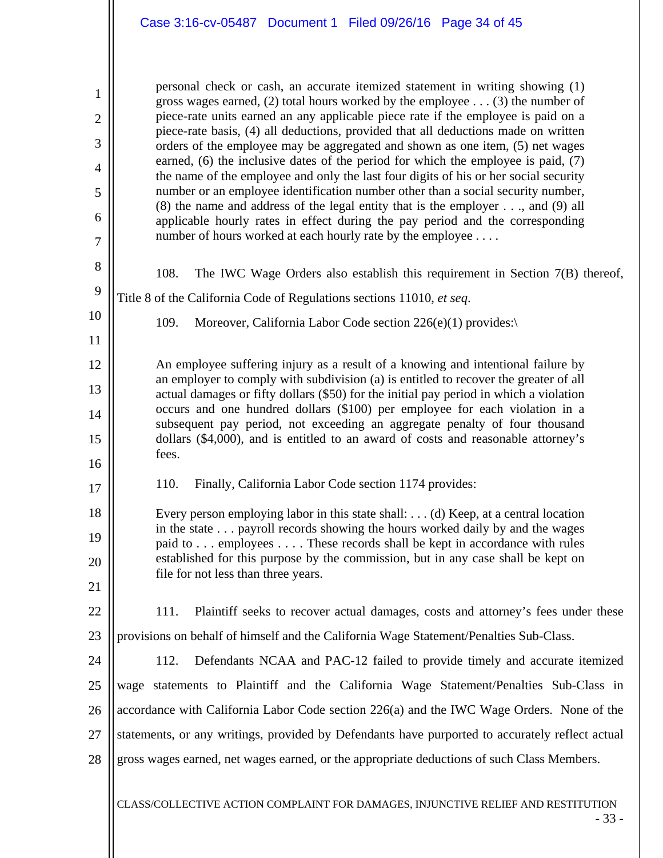| $\mathbf{1}$<br>$\overline{2}$<br>3<br>4<br>5<br>6<br>$\overline{7}$ | personal check or cash, an accurate itemized statement in writing showing (1)<br>gross wages earned, (2) total hours worked by the employee $\dots$ (3) the number of<br>piece-rate units earned an any applicable piece rate if the employee is paid on a<br>piece-rate basis, (4) all deductions, provided that all deductions made on written<br>orders of the employee may be aggregated and shown as one item, (5) net wages<br>earned, $(6)$ the inclusive dates of the period for which the employee is paid, $(7)$<br>the name of the employee and only the last four digits of his or her social security<br>number or an employee identification number other than a social security number,<br>$(8)$ the name and address of the legal entity that is the employer, and $(9)$ all<br>applicable hourly rates in effect during the pay period and the corresponding<br>number of hours worked at each hourly rate by the employee |  |  |  |  |
|----------------------------------------------------------------------|---------------------------------------------------------------------------------------------------------------------------------------------------------------------------------------------------------------------------------------------------------------------------------------------------------------------------------------------------------------------------------------------------------------------------------------------------------------------------------------------------------------------------------------------------------------------------------------------------------------------------------------------------------------------------------------------------------------------------------------------------------------------------------------------------------------------------------------------------------------------------------------------------------------------------------------------|--|--|--|--|
| 8<br>9                                                               | 108.<br>The IWC Wage Orders also establish this requirement in Section $7(B)$ thereof,                                                                                                                                                                                                                                                                                                                                                                                                                                                                                                                                                                                                                                                                                                                                                                                                                                                      |  |  |  |  |
|                                                                      | Title 8 of the California Code of Regulations sections 11010, et seq.                                                                                                                                                                                                                                                                                                                                                                                                                                                                                                                                                                                                                                                                                                                                                                                                                                                                       |  |  |  |  |
| 10<br>11                                                             | 109.<br>Moreover, California Labor Code section $226(e)(1)$ provides:                                                                                                                                                                                                                                                                                                                                                                                                                                                                                                                                                                                                                                                                                                                                                                                                                                                                       |  |  |  |  |
| 12                                                                   | An employee suffering injury as a result of a knowing and intentional failure by                                                                                                                                                                                                                                                                                                                                                                                                                                                                                                                                                                                                                                                                                                                                                                                                                                                            |  |  |  |  |
| 13                                                                   | an employer to comply with subdivision (a) is entitled to recover the greater of all<br>actual damages or fifty dollars (\$50) for the initial pay period in which a violation<br>occurs and one hundred dollars (\$100) per employee for each violation in a                                                                                                                                                                                                                                                                                                                                                                                                                                                                                                                                                                                                                                                                               |  |  |  |  |
| 14                                                                   |                                                                                                                                                                                                                                                                                                                                                                                                                                                                                                                                                                                                                                                                                                                                                                                                                                                                                                                                             |  |  |  |  |
| 15                                                                   | subsequent pay period, not exceeding an aggregate penalty of four thousand<br>dollars (\$4,000), and is entitled to an award of costs and reasonable attorney's                                                                                                                                                                                                                                                                                                                                                                                                                                                                                                                                                                                                                                                                                                                                                                             |  |  |  |  |
| 16                                                                   | fees.                                                                                                                                                                                                                                                                                                                                                                                                                                                                                                                                                                                                                                                                                                                                                                                                                                                                                                                                       |  |  |  |  |
| 17                                                                   | 110.<br>Finally, California Labor Code section 1174 provides:                                                                                                                                                                                                                                                                                                                                                                                                                                                                                                                                                                                                                                                                                                                                                                                                                                                                               |  |  |  |  |
| 18                                                                   | Every person employing labor in this state shall: (d) Keep, at a central location                                                                                                                                                                                                                                                                                                                                                                                                                                                                                                                                                                                                                                                                                                                                                                                                                                                           |  |  |  |  |
| 19                                                                   | in the state payroll records showing the hours worked daily by and the wages<br>paid to employees These records shall be kept in accordance with rules                                                                                                                                                                                                                                                                                                                                                                                                                                                                                                                                                                                                                                                                                                                                                                                      |  |  |  |  |
| 20                                                                   | established for this purpose by the commission, but in any case shall be kept on<br>file for not less than three years.                                                                                                                                                                                                                                                                                                                                                                                                                                                                                                                                                                                                                                                                                                                                                                                                                     |  |  |  |  |
| 21                                                                   |                                                                                                                                                                                                                                                                                                                                                                                                                                                                                                                                                                                                                                                                                                                                                                                                                                                                                                                                             |  |  |  |  |
| 22                                                                   | Plaintiff seeks to recover actual damages, costs and attorney's fees under these<br>111.                                                                                                                                                                                                                                                                                                                                                                                                                                                                                                                                                                                                                                                                                                                                                                                                                                                    |  |  |  |  |
| 23                                                                   | provisions on behalf of himself and the California Wage Statement/Penalties Sub-Class.                                                                                                                                                                                                                                                                                                                                                                                                                                                                                                                                                                                                                                                                                                                                                                                                                                                      |  |  |  |  |
| 24                                                                   | 112.<br>Defendants NCAA and PAC-12 failed to provide timely and accurate itemized                                                                                                                                                                                                                                                                                                                                                                                                                                                                                                                                                                                                                                                                                                                                                                                                                                                           |  |  |  |  |
| 25                                                                   | wage statements to Plaintiff and the California Wage Statement/Penalties Sub-Class in                                                                                                                                                                                                                                                                                                                                                                                                                                                                                                                                                                                                                                                                                                                                                                                                                                                       |  |  |  |  |
| 26                                                                   | accordance with California Labor Code section 226(a) and the IWC Wage Orders. None of the                                                                                                                                                                                                                                                                                                                                                                                                                                                                                                                                                                                                                                                                                                                                                                                                                                                   |  |  |  |  |
| 27                                                                   | statements, or any writings, provided by Defendants have purported to accurately reflect actual                                                                                                                                                                                                                                                                                                                                                                                                                                                                                                                                                                                                                                                                                                                                                                                                                                             |  |  |  |  |
| 28                                                                   | gross wages earned, net wages earned, or the appropriate deductions of such Class Members.                                                                                                                                                                                                                                                                                                                                                                                                                                                                                                                                                                                                                                                                                                                                                                                                                                                  |  |  |  |  |
|                                                                      |                                                                                                                                                                                                                                                                                                                                                                                                                                                                                                                                                                                                                                                                                                                                                                                                                                                                                                                                             |  |  |  |  |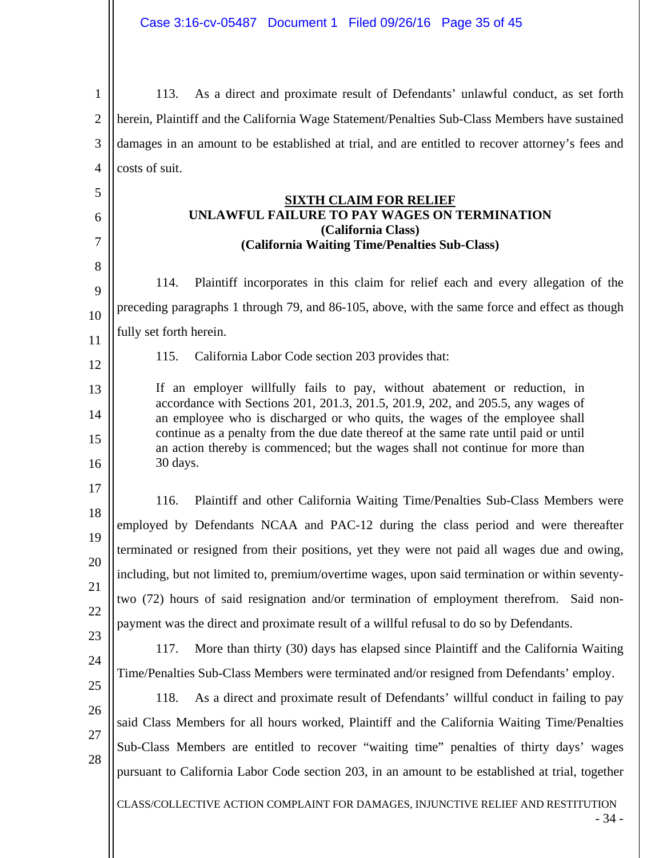1 2 3 4 113. As a direct and proximate result of Defendants' unlawful conduct, as set forth herein, Plaintiff and the California Wage Statement/Penalties Sub-Class Members have sustained damages in an amount to be established at trial, and are entitled to recover attorney's fees and costs of suit.

### **SIXTH CLAIM FOR RELIEF UNLAWFUL FAILURE TO PAY WAGES ON TERMINATION (California Class) (California Waiting Time/Penalties Sub-Class)**

9 10 11 114. Plaintiff incorporates in this claim for relief each and every allegation of the preceding paragraphs 1 through 79, and 86-105, above, with the same force and effect as though fully set forth herein.

115. California Labor Code section 203 provides that:

If an employer willfully fails to pay, without abatement or reduction, in accordance with Sections 201, 201.3, 201.5, 201.9, 202, and 205.5, any wages of an employee who is discharged or who quits, the wages of the employee shall continue as a penalty from the due date thereof at the same rate until paid or until an action thereby is commenced; but the wages shall not continue for more than 30 days.

17 18 19 20 21 22 116. Plaintiff and other California Waiting Time/Penalties Sub-Class Members were employed by Defendants NCAA and PAC-12 during the class period and were thereafter terminated or resigned from their positions, yet they were not paid all wages due and owing, including, but not limited to, premium/overtime wages, upon said termination or within seventytwo (72) hours of said resignation and/or termination of employment therefrom. Said nonpayment was the direct and proximate result of a willful refusal to do so by Defendants.

23 24

5

6

7

8

12

13

14

15

16

117. More than thirty (30) days has elapsed since Plaintiff and the California Waiting Time/Penalties Sub-Class Members were terminated and/or resigned from Defendants' employ.

- 25
- 26 27

28

118. As a direct and proximate result of Defendants' willful conduct in failing to pay said Class Members for all hours worked, Plaintiff and the California Waiting Time/Penalties Sub-Class Members are entitled to recover "waiting time" penalties of thirty days' wages pursuant to California Labor Code section 203, in an amount to be established at trial, together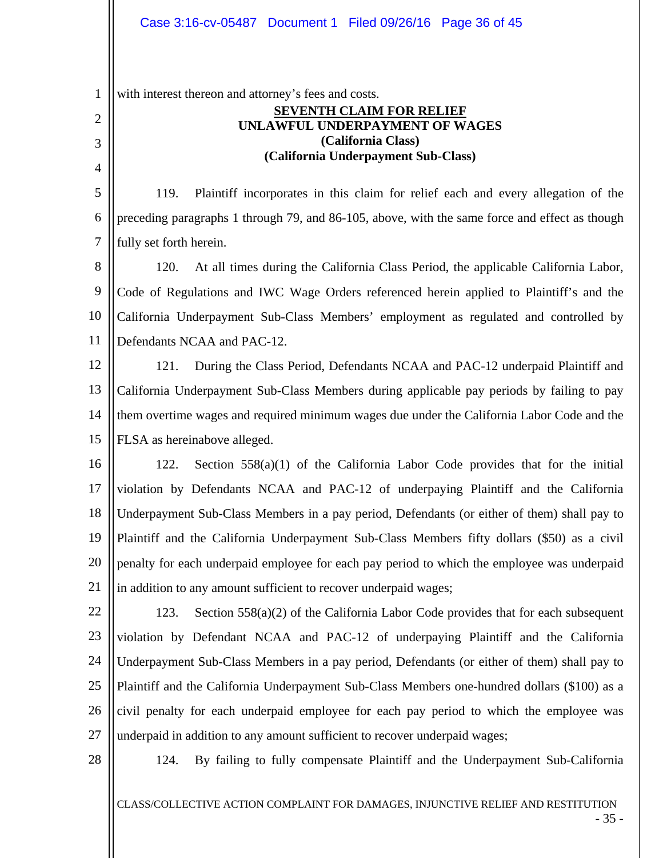1 with interest thereon and attorney's fees and costs.

# **SEVENTH CLAIM FOR RELIEF UNLAWFUL UNDERPAYMENT OF WAGES (California Class) (California Underpayment Sub-Class)**

5 6 7 119. Plaintiff incorporates in this claim for relief each and every allegation of the preceding paragraphs 1 through 79, and 86-105, above, with the same force and effect as though fully set forth herein.

8 9 10 11 120. At all times during the California Class Period, the applicable California Labor, Code of Regulations and IWC Wage Orders referenced herein applied to Plaintiff's and the California Underpayment Sub-Class Members' employment as regulated and controlled by Defendants NCAA and PAC-12.

12 13 14 15 121. During the Class Period, Defendants NCAA and PAC-12 underpaid Plaintiff and California Underpayment Sub-Class Members during applicable pay periods by failing to pay them overtime wages and required minimum wages due under the California Labor Code and the FLSA as hereinabove alleged.

16 17 18 19 20 21 122. Section 558(a)(1) of the California Labor Code provides that for the initial violation by Defendants NCAA and PAC-12 of underpaying Plaintiff and the California Underpayment Sub-Class Members in a pay period, Defendants (or either of them) shall pay to Plaintiff and the California Underpayment Sub-Class Members fifty dollars (\$50) as a civil penalty for each underpaid employee for each pay period to which the employee was underpaid in addition to any amount sufficient to recover underpaid wages;

- 22 23 24 25 26 27 123. Section 558(a)(2) of the California Labor Code provides that for each subsequent violation by Defendant NCAA and PAC-12 of underpaying Plaintiff and the California Underpayment Sub-Class Members in a pay period, Defendants (or either of them) shall pay to Plaintiff and the California Underpayment Sub-Class Members one-hundred dollars (\$100) as a civil penalty for each underpaid employee for each pay period to which the employee was underpaid in addition to any amount sufficient to recover underpaid wages;
- 28

2

3

4

124. By failing to fully compensate Plaintiff and the Underpayment Sub-California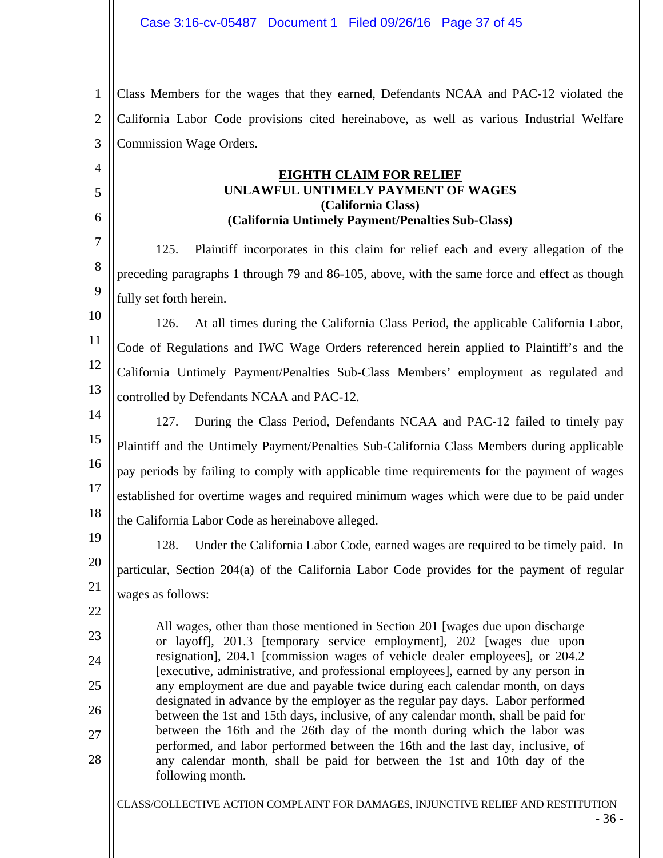1 2 3 Class Members for the wages that they earned, Defendants NCAA and PAC-12 violated the California Labor Code provisions cited hereinabove, as well as various Industrial Welfare Commission Wage Orders.

### **EIGHTH CLAIM FOR RELIEF UNLAWFUL UNTIMELY PAYMENT OF WAGES (California Class) (California Untimely Payment/Penalties Sub-Class)**

7 8 9 125. Plaintiff incorporates in this claim for relief each and every allegation of the preceding paragraphs 1 through 79 and 86-105, above, with the same force and effect as though fully set forth herein.

10 11 12 13 126. At all times during the California Class Period, the applicable California Labor, Code of Regulations and IWC Wage Orders referenced herein applied to Plaintiff's and the California Untimely Payment/Penalties Sub-Class Members' employment as regulated and controlled by Defendants NCAA and PAC-12.

14 15 16 17 18 127. During the Class Period, Defendants NCAA and PAC-12 failed to timely pay Plaintiff and the Untimely Payment/Penalties Sub-California Class Members during applicable pay periods by failing to comply with applicable time requirements for the payment of wages established for overtime wages and required minimum wages which were due to be paid under the California Labor Code as hereinabove alleged.

19 20

21

22

23

24

25

26

27

28

4

5

6

128. Under the California Labor Code, earned wages are required to be timely paid. In particular, Section 204(a) of the California Labor Code provides for the payment of regular wages as follows:

All wages, other than those mentioned in Section 201 [wages due upon discharge or layoff], 201.3 [temporary service employment], 202 [wages due upon resignation], 204.1 [commission wages of vehicle dealer employees], or 204.2 [executive, administrative, and professional employees], earned by any person in any employment are due and payable twice during each calendar month, on days designated in advance by the employer as the regular pay days. Labor performed between the 1st and 15th days, inclusive, of any calendar month, shall be paid for between the 16th and the 26th day of the month during which the labor was performed, and labor performed between the 16th and the last day, inclusive, of any calendar month, shall be paid for between the 1st and 10th day of the following month.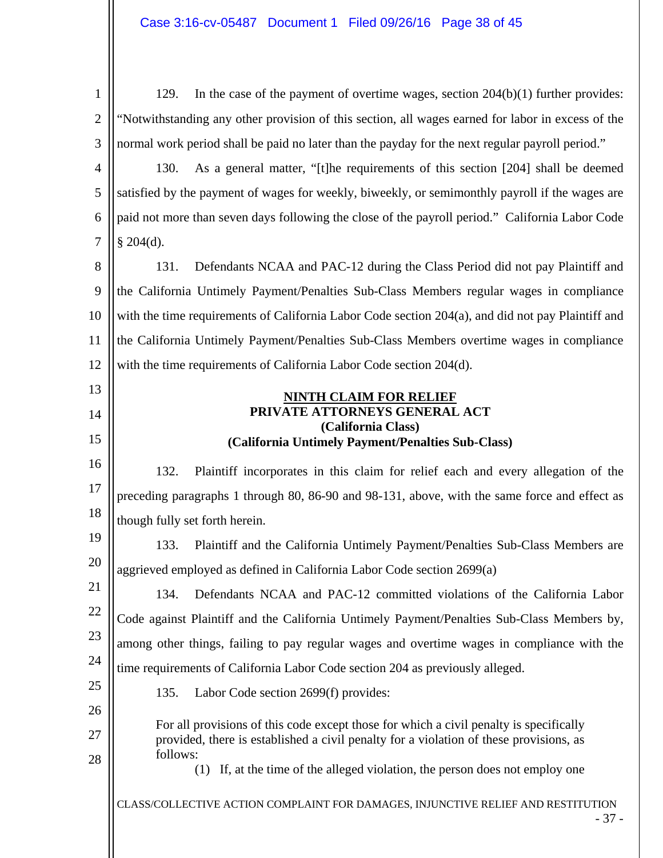CLASS/COLLECTIVE ACTION COMPLAINT FOR DAMAGES, INJUNCTIVE RELIEF AND RESTITUTION - 37 - 1 2 3 4 5 6 7 8 9 10 11 12 13 14 15 16 17 18 19 20 21 22 23 24 25 26 27 28 129. In the case of the payment of overtime wages, section 204(b)(1) further provides: "Notwithstanding any other provision of this section, all wages earned for labor in excess of the normal work period shall be paid no later than the payday for the next regular payroll period." 130. As a general matter, "[t]he requirements of this section [204] shall be deemed satisfied by the payment of wages for weekly, biweekly, or semimonthly payroll if the wages are paid not more than seven days following the close of the payroll period." California Labor Code  $§$  204(d). 131. Defendants NCAA and PAC-12 during the Class Period did not pay Plaintiff and the California Untimely Payment/Penalties Sub-Class Members regular wages in compliance with the time requirements of California Labor Code section 204(a), and did not pay Plaintiff and the California Untimely Payment/Penalties Sub-Class Members overtime wages in compliance with the time requirements of California Labor Code section 204(d). **NINTH CLAIM FOR RELIEF PRIVATE ATTORNEYS GENERAL ACT (California Class) (California Untimely Payment/Penalties Sub-Class)**  132. Plaintiff incorporates in this claim for relief each and every allegation of the preceding paragraphs 1 through 80, 86-90 and 98-131, above, with the same force and effect as though fully set forth herein. 133. Plaintiff and the California Untimely Payment/Penalties Sub-Class Members are aggrieved employed as defined in California Labor Code section 2699(a) 134. Defendants NCAA and PAC-12 committed violations of the California Labor Code against Plaintiff and the California Untimely Payment/Penalties Sub-Class Members by, among other things, failing to pay regular wages and overtime wages in compliance with the time requirements of California Labor Code section 204 as previously alleged. 135. Labor Code section 2699(f) provides: For all provisions of this code except those for which a civil penalty is specifically provided, there is established a civil penalty for a violation of these provisions, as follows: (1) If, at the time of the alleged violation, the person does not employ one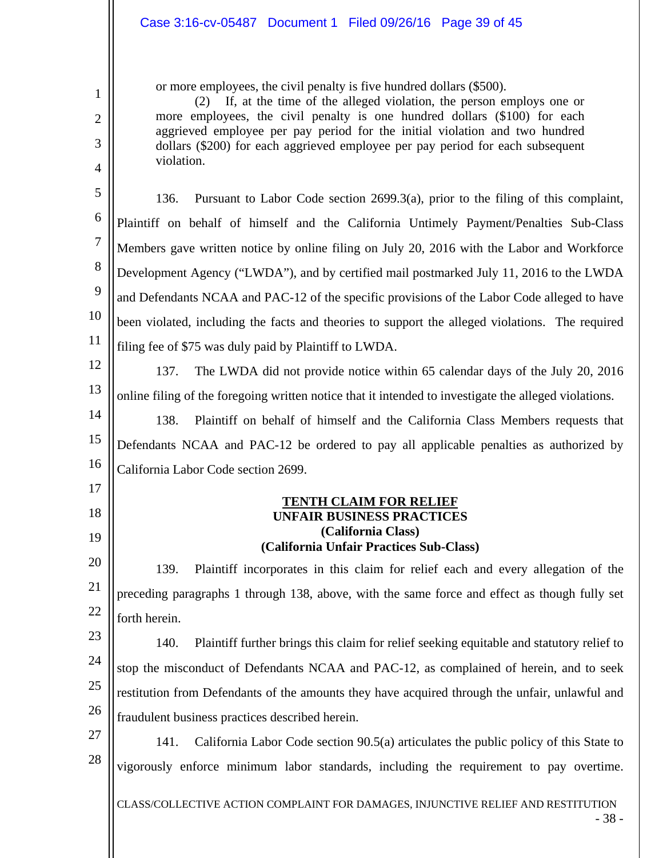# Case 3:16-cv-05487 Document 1 Filed 09/26/16 Page 39 of 45

or more employees, the civil penalty is five hundred dollars (\$500).

(2) If, at the time of the alleged violation, the person employs one or more employees, the civil penalty is one hundred dollars (\$100) for each aggrieved employee per pay period for the initial violation and two hundred dollars (\$200) for each aggrieved employee per pay period for each subsequent violation.

5 6 7 8 9 10 11 136. Pursuant to Labor Code section 2699.3(a), prior to the filing of this complaint, Plaintiff on behalf of himself and the California Untimely Payment/Penalties Sub-Class Members gave written notice by online filing on July 20, 2016 with the Labor and Workforce Development Agency ("LWDA"), and by certified mail postmarked July 11, 2016 to the LWDA and Defendants NCAA and PAC-12 of the specific provisions of the Labor Code alleged to have been violated, including the facts and theories to support the alleged violations. The required filing fee of \$75 was duly paid by Plaintiff to LWDA.

12

13

17

18

19

1

2

3

4

137. The LWDA did not provide notice within 65 calendar days of the July 20, 2016 online filing of the foregoing written notice that it intended to investigate the alleged violations.

14 15 16 138. Plaintiff on behalf of himself and the California Class Members requests that Defendants NCAA and PAC-12 be ordered to pay all applicable penalties as authorized by California Labor Code section 2699.

### **TENTH CLAIM FOR RELIEF UNFAIR BUSINESS PRACTICES (California Class) (California Unfair Practices Sub-Class)**

20 21 22 139. Plaintiff incorporates in this claim for relief each and every allegation of the preceding paragraphs 1 through 138, above, with the same force and effect as though fully set forth herein.

23 24 25 26 140. Plaintiff further brings this claim for relief seeking equitable and statutory relief to stop the misconduct of Defendants NCAA and PAC-12, as complained of herein, and to seek restitution from Defendants of the amounts they have acquired through the unfair, unlawful and fraudulent business practices described herein.

27 28 141. California Labor Code section 90.5(a) articulates the public policy of this State to vigorously enforce minimum labor standards, including the requirement to pay overtime.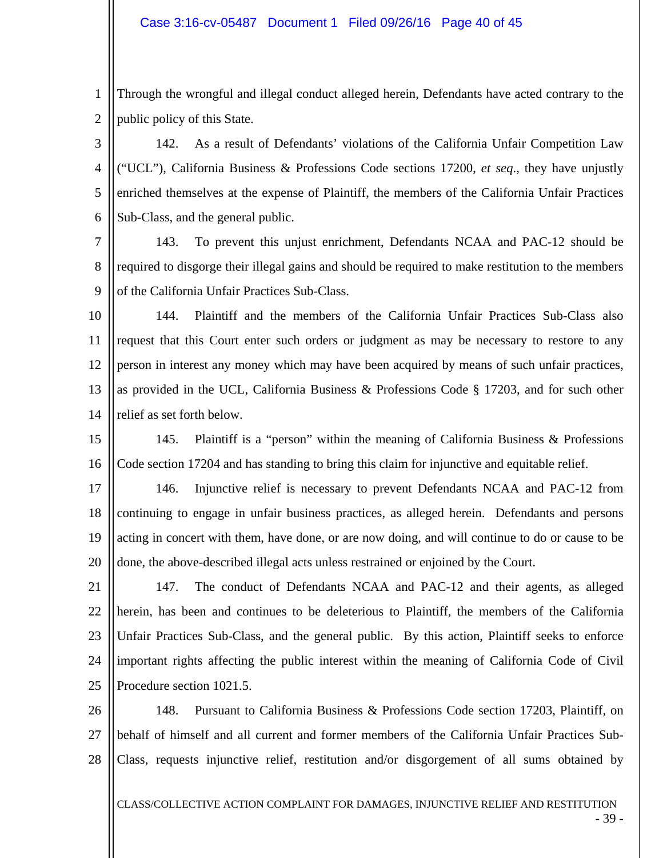1 2 Through the wrongful and illegal conduct alleged herein, Defendants have acted contrary to the public policy of this State.

3 4 5 6 142. As a result of Defendants' violations of the California Unfair Competition Law ("UCL"), California Business & Professions Code sections 17200, *et seq*., they have unjustly enriched themselves at the expense of Plaintiff, the members of the California Unfair Practices Sub-Class, and the general public.

7 8 9 143. To prevent this unjust enrichment, Defendants NCAA and PAC-12 should be required to disgorge their illegal gains and should be required to make restitution to the members of the California Unfair Practices Sub-Class.

10 11 12 13 14 144. Plaintiff and the members of the California Unfair Practices Sub-Class also request that this Court enter such orders or judgment as may be necessary to restore to any person in interest any money which may have been acquired by means of such unfair practices, as provided in the UCL, California Business & Professions Code § 17203, and for such other relief as set forth below.

15 16 145. Plaintiff is a "person" within the meaning of California Business & Professions Code section 17204 and has standing to bring this claim for injunctive and equitable relief.

17 18 19 20 146. Injunctive relief is necessary to prevent Defendants NCAA and PAC-12 from continuing to engage in unfair business practices, as alleged herein. Defendants and persons acting in concert with them, have done, or are now doing, and will continue to do or cause to be done, the above-described illegal acts unless restrained or enjoined by the Court.

21 22 23 24 25 147. The conduct of Defendants NCAA and PAC-12 and their agents, as alleged herein, has been and continues to be deleterious to Plaintiff, the members of the California Unfair Practices Sub-Class, and the general public. By this action, Plaintiff seeks to enforce important rights affecting the public interest within the meaning of California Code of Civil Procedure section 1021.5.

26 27 28 148. Pursuant to California Business & Professions Code section 17203, Plaintiff, on behalf of himself and all current and former members of the California Unfair Practices Sub-Class, requests injunctive relief, restitution and/or disgorgement of all sums obtained by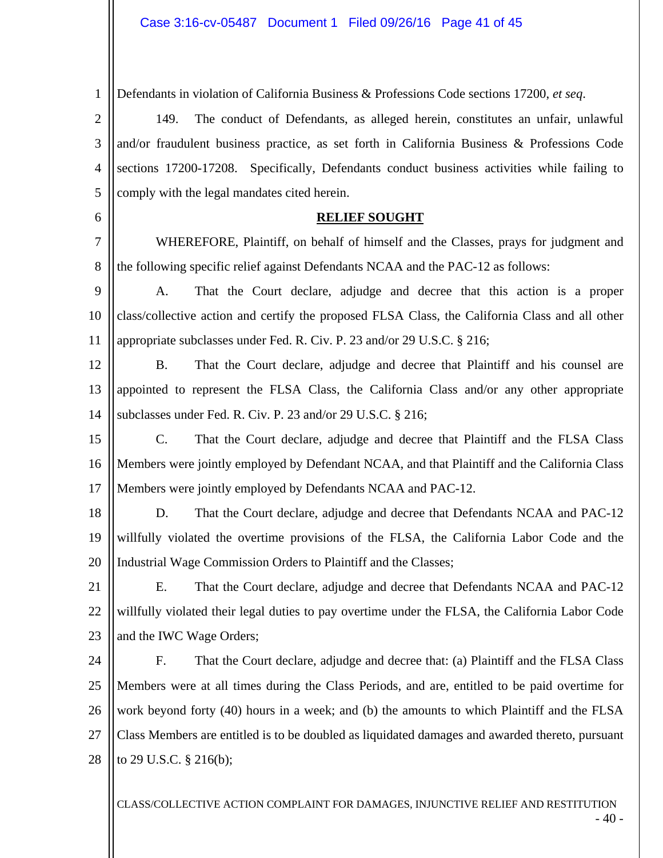1 Defendants in violation of California Business & Professions Code sections 17200, *et seq*.

2

3

4

5

6

7

8

149. The conduct of Defendants, as alleged herein, constitutes an unfair, unlawful and/or fraudulent business practice, as set forth in California Business & Professions Code sections 17200-17208. Specifically, Defendants conduct business activities while failing to comply with the legal mandates cited herein.

### **RELIEF SOUGHT**

 WHEREFORE, Plaintiff, on behalf of himself and the Classes, prays for judgment and the following specific relief against Defendants NCAA and the PAC-12 as follows:

9 10 11 A. That the Court declare, adjudge and decree that this action is a proper class/collective action and certify the proposed FLSA Class, the California Class and all other appropriate subclasses under Fed. R. Civ. P. 23 and/or 29 U.S.C. § 216;

12 13 14 B. That the Court declare, adjudge and decree that Plaintiff and his counsel are appointed to represent the FLSA Class, the California Class and/or any other appropriate subclasses under Fed. R. Civ. P. 23 and/or 29 U.S.C. § 216;

15 16 17 C. That the Court declare, adjudge and decree that Plaintiff and the FLSA Class Members were jointly employed by Defendant NCAA, and that Plaintiff and the California Class Members were jointly employed by Defendants NCAA and PAC-12.

18 19 20 D. That the Court declare, adjudge and decree that Defendants NCAA and PAC-12 willfully violated the overtime provisions of the FLSA, the California Labor Code and the Industrial Wage Commission Orders to Plaintiff and the Classes;

21 22 23 E. That the Court declare, adjudge and decree that Defendants NCAA and PAC-12 willfully violated their legal duties to pay overtime under the FLSA, the California Labor Code and the IWC Wage Orders;

24 25 26 27 28 F. That the Court declare, adjudge and decree that: (a) Plaintiff and the FLSA Class Members were at all times during the Class Periods, and are, entitled to be paid overtime for work beyond forty (40) hours in a week; and (b) the amounts to which Plaintiff and the FLSA Class Members are entitled is to be doubled as liquidated damages and awarded thereto, pursuant to 29 U.S.C. § 216(b);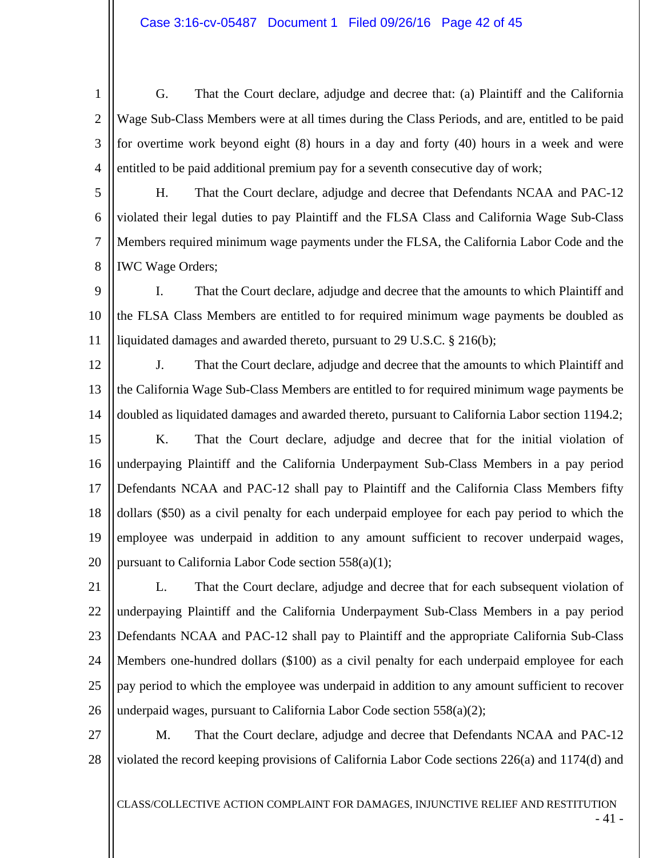1 2 3 4 G. That the Court declare, adjudge and decree that: (a) Plaintiff and the California Wage Sub-Class Members were at all times during the Class Periods, and are, entitled to be paid for overtime work beyond eight (8) hours in a day and forty (40) hours in a week and were entitled to be paid additional premium pay for a seventh consecutive day of work;

5 6 7 8 H. That the Court declare, adjudge and decree that Defendants NCAA and PAC-12 violated their legal duties to pay Plaintiff and the FLSA Class and California Wage Sub-Class Members required minimum wage payments under the FLSA, the California Labor Code and the IWC Wage Orders;

9 10 11 I. That the Court declare, adjudge and decree that the amounts to which Plaintiff and the FLSA Class Members are entitled to for required minimum wage payments be doubled as liquidated damages and awarded thereto, pursuant to 29 U.S.C. § 216(b);

12

13

J. That the Court declare, adjudge and decree that the amounts to which Plaintiff and the California Wage Sub-Class Members are entitled to for required minimum wage payments be doubled as liquidated damages and awarded thereto, pursuant to California Labor section 1194.2;

14

15 16 17 18 19 20 K. That the Court declare, adjudge and decree that for the initial violation of underpaying Plaintiff and the California Underpayment Sub-Class Members in a pay period Defendants NCAA and PAC-12 shall pay to Plaintiff and the California Class Members fifty dollars (\$50) as a civil penalty for each underpaid employee for each pay period to which the employee was underpaid in addition to any amount sufficient to recover underpaid wages, pursuant to California Labor Code section 558(a)(1);

21 22 23 24 25 26 L. That the Court declare, adjudge and decree that for each subsequent violation of underpaying Plaintiff and the California Underpayment Sub-Class Members in a pay period Defendants NCAA and PAC-12 shall pay to Plaintiff and the appropriate California Sub-Class Members one-hundred dollars (\$100) as a civil penalty for each underpaid employee for each pay period to which the employee was underpaid in addition to any amount sufficient to recover underpaid wages, pursuant to California Labor Code section 558(a)(2);

27 28 M. That the Court declare, adjudge and decree that Defendants NCAA and PAC-12 violated the record keeping provisions of California Labor Code sections 226(a) and 1174(d) and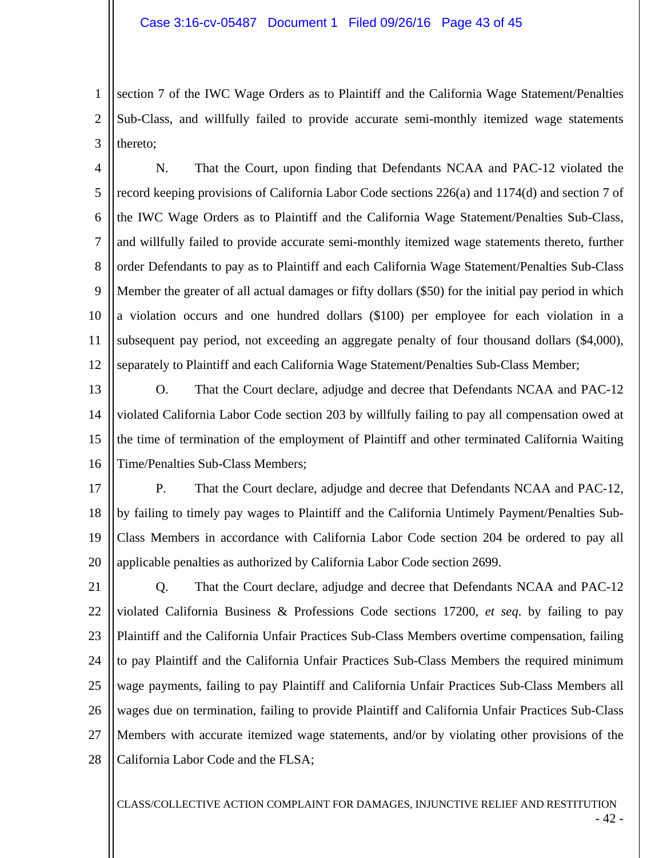1 2 3 section 7 of the IWC Wage Orders as to Plaintiff and the California Wage Statement/Penalties Sub-Class, and willfully failed to provide accurate semi-monthly itemized wage statements thereto;

4 5 6 7 8 9 10 11 12 N. That the Court, upon finding that Defendants NCAA and PAC-12 violated the record keeping provisions of California Labor Code sections 226(a) and 1174(d) and section 7 of the IWC Wage Orders as to Plaintiff and the California Wage Statement/Penalties Sub-Class, and willfully failed to provide accurate semi-monthly itemized wage statements thereto, further order Defendants to pay as to Plaintiff and each California Wage Statement/Penalties Sub-Class Member the greater of all actual damages or fifty dollars (\$50) for the initial pay period in which a violation occurs and one hundred dollars (\$100) per employee for each violation in a subsequent pay period, not exceeding an aggregate penalty of four thousand dollars (\$4,000), separately to Plaintiff and each California Wage Statement/Penalties Sub-Class Member;

13 14 15 16 O. That the Court declare, adjudge and decree that Defendants NCAA and PAC-12 violated California Labor Code section 203 by willfully failing to pay all compensation owed at the time of termination of the employment of Plaintiff and other terminated California Waiting Time/Penalties Sub-Class Members;

17 18 19 20 P. That the Court declare, adjudge and decree that Defendants NCAA and PAC-12, by failing to timely pay wages to Plaintiff and the California Untimely Payment/Penalties Sub-Class Members in accordance with California Labor Code section 204 be ordered to pay all applicable penalties as authorized by California Labor Code section 2699.

21 22 23 24 25 26 27 28 Q. That the Court declare, adjudge and decree that Defendants NCAA and PAC-12 violated California Business & Professions Code sections 17200, *et seq*. by failing to pay Plaintiff and the California Unfair Practices Sub-Class Members overtime compensation, failing to pay Plaintiff and the California Unfair Practices Sub-Class Members the required minimum wage payments, failing to pay Plaintiff and California Unfair Practices Sub-Class Members all wages due on termination, failing to provide Plaintiff and California Unfair Practices Sub-Class Members with accurate itemized wage statements, and/or by violating other provisions of the California Labor Code and the FLSA;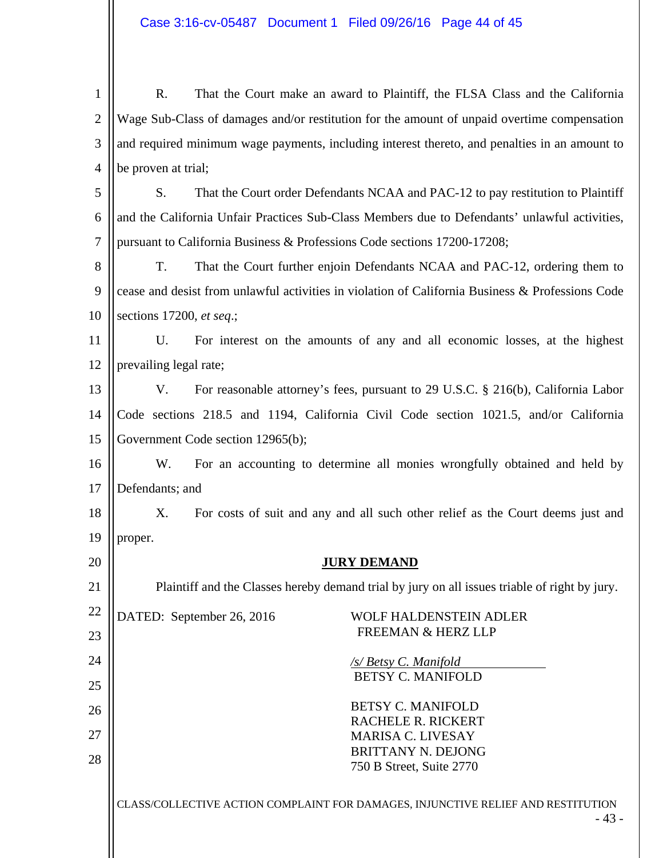1 2 3 4 R. That the Court make an award to Plaintiff, the FLSA Class and the California Wage Sub-Class of damages and/or restitution for the amount of unpaid overtime compensation and required minimum wage payments, including interest thereto, and penalties in an amount to be proven at trial;

5 6 7 S. That the Court order Defendants NCAA and PAC-12 to pay restitution to Plaintiff and the California Unfair Practices Sub-Class Members due to Defendants' unlawful activities, pursuant to California Business & Professions Code sections 17200-17208;

8 9 10 T. That the Court further enjoin Defendants NCAA and PAC-12, ordering them to cease and desist from unlawful activities in violation of California Business & Professions Code sections 17200, *et seq*.;

11 12 U. For interest on the amounts of any and all economic losses, at the highest prevailing legal rate;

13 14 15 V. For reasonable attorney's fees, pursuant to 29 U.S.C. § 216(b), California Labor Code sections 218.5 and 1194, California Civil Code section 1021.5, and/or California Government Code section 12965(b);

16 17 W. For an accounting to determine all monies wrongfully obtained and held by Defendants; and

18 19 X. For costs of suit and any and all such other relief as the Court deems just and proper.

# **JURY DEMAND**

Plaintiff and the Classes hereby demand trial by jury on all issues triable of right by jury.

22 23 DATED: September 26, 2016 WOLF HALDENSTEIN ADLER

20

21

24

25

26

27

28

FREEMAN & HERZ LLP

*/s/ Betsy C. Manifold* BETSY C. MANIFOLD

BETSY C. MANIFOLD RACHELE R. RICKERT MARISA C. LIVESAY BRITTANY N. DEJONG 750 B Street, Suite 2770